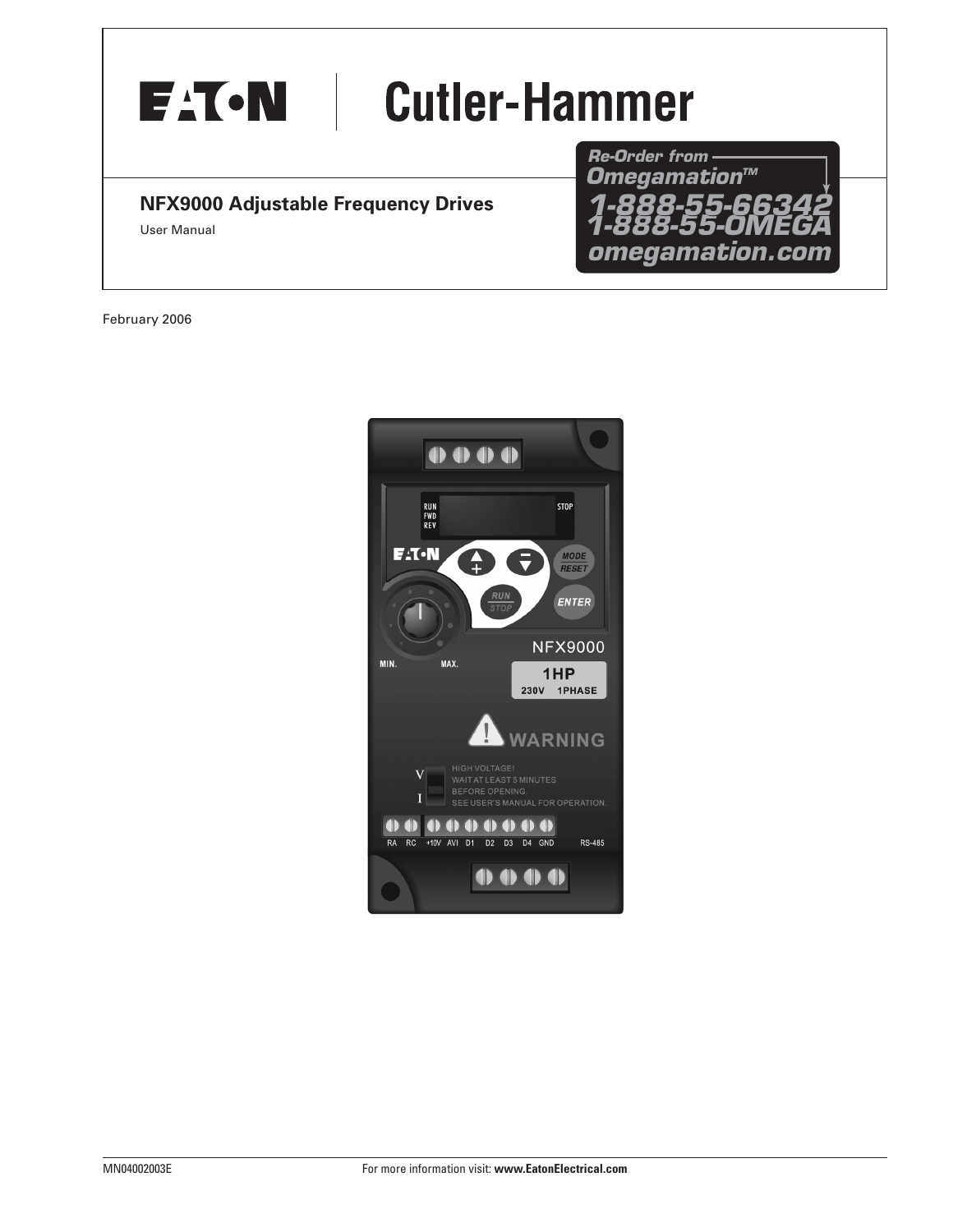

#### **NFX9000 Adjustable Frequency Drives**

User Manual

*Re-Order from omegamation.com* **Omegamation™** *1-888-55-OMEGA 1-888-55-66342 1-888-55-66342*

February 2006

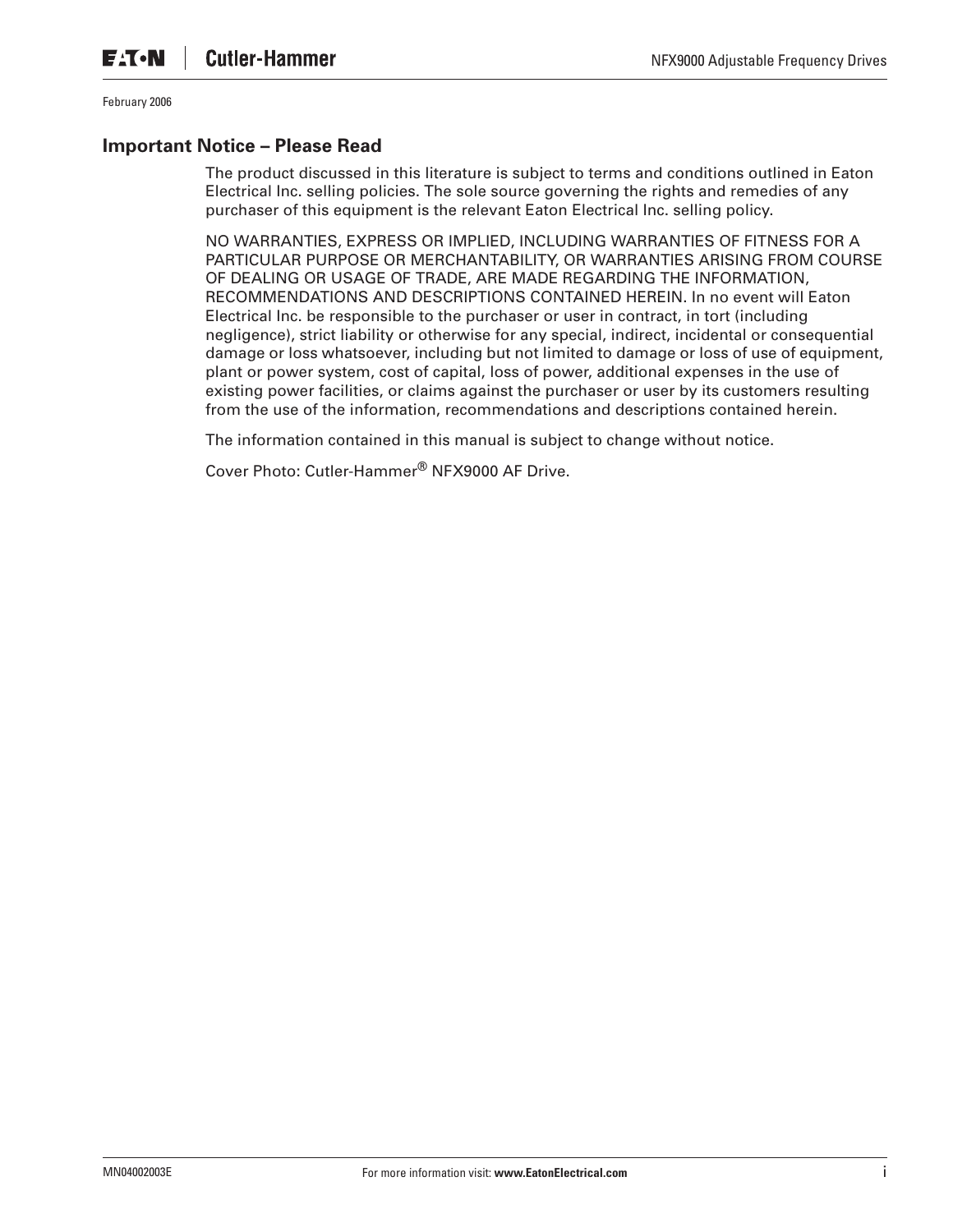#### **Important Notice – Please Read**

The product discussed in this literature is subject to terms and conditions outlined in Eaton Electrical Inc. selling policies. The sole source governing the rights and remedies of any purchaser of this equipment is the relevant Eaton Electrical Inc. selling policy.

NO WARRANTIES, EXPRESS OR IMPLIED, INCLUDING WARRANTIES OF FITNESS FOR A PARTICULAR PURPOSE OR MERCHANTABILITY, OR WARRANTIES ARISING FROM COURSE OF DEALING OR USAGE OF TRADE, ARE MADE REGARDING THE INFORMATION, RECOMMENDATIONS AND DESCRIPTIONS CONTAINED HEREIN. In no event will Eaton Electrical Inc. be responsible to the purchaser or user in contract, in tort (including negligence), strict liability or otherwise for any special, indirect, incidental or consequential damage or loss whatsoever, including but not limited to damage or loss of use of equipment, plant or power system, cost of capital, loss of power, additional expenses in the use of existing power facilities, or claims against the purchaser or user by its customers resulting from the use of the information, recommendations and descriptions contained herein.

The information contained in this manual is subject to change without notice.

Cover Photo: Cutler-Hammer® NFX9000 AF Drive.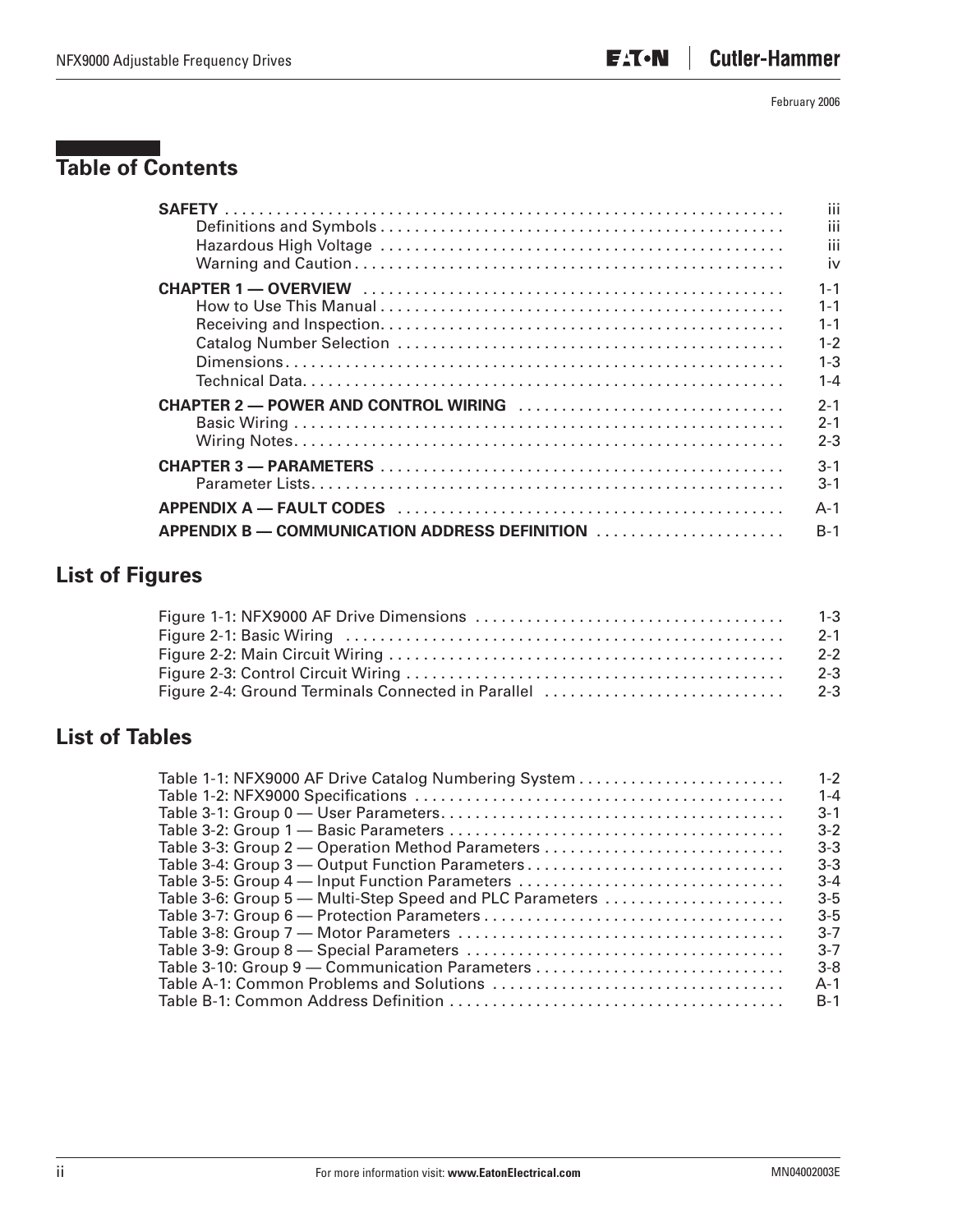# **Table of Contents**

|                                               | iii     |
|-----------------------------------------------|---------|
|                                               | iii     |
|                                               | iii     |
|                                               | iv      |
|                                               | $1 - 1$ |
|                                               | $1 - 1$ |
|                                               | $1 - 1$ |
|                                               | $1 - 2$ |
|                                               | $1 - 3$ |
|                                               | $1 - 4$ |
|                                               | $2 - 1$ |
|                                               | $2 - 1$ |
|                                               | $2 - 3$ |
|                                               | $3 - 1$ |
|                                               | $3 - 1$ |
|                                               | $A - 1$ |
| APPENDIX B — COMMUNICATION ADDRESS DEFINITION | $B-1$   |

# **List of Figures**

| $2 - 3$ |
|---------|
|         |

### **List of Tables**

|                                                          | $1 - 2$ |
|----------------------------------------------------------|---------|
|                                                          | $1 - 4$ |
|                                                          | $3 - 1$ |
|                                                          | $3 - 2$ |
| Table 3-3: Group 2 - Operation Method Parameters         | $3-3$   |
| Table 3-4: Group 3 — Output Function Parameters          | $3-3$   |
| Table 3-5: Group 4 — Input Function Parameters           | $3 - 4$ |
| Table 3-6: Group 5 - Multi-Step Speed and PLC Parameters | $3-5$   |
|                                                          | $3 - 5$ |
|                                                          | $3 - 7$ |
|                                                          | $3 - 7$ |
|                                                          | $3 - 8$ |
|                                                          | $A-1$   |
|                                                          | $B-1$   |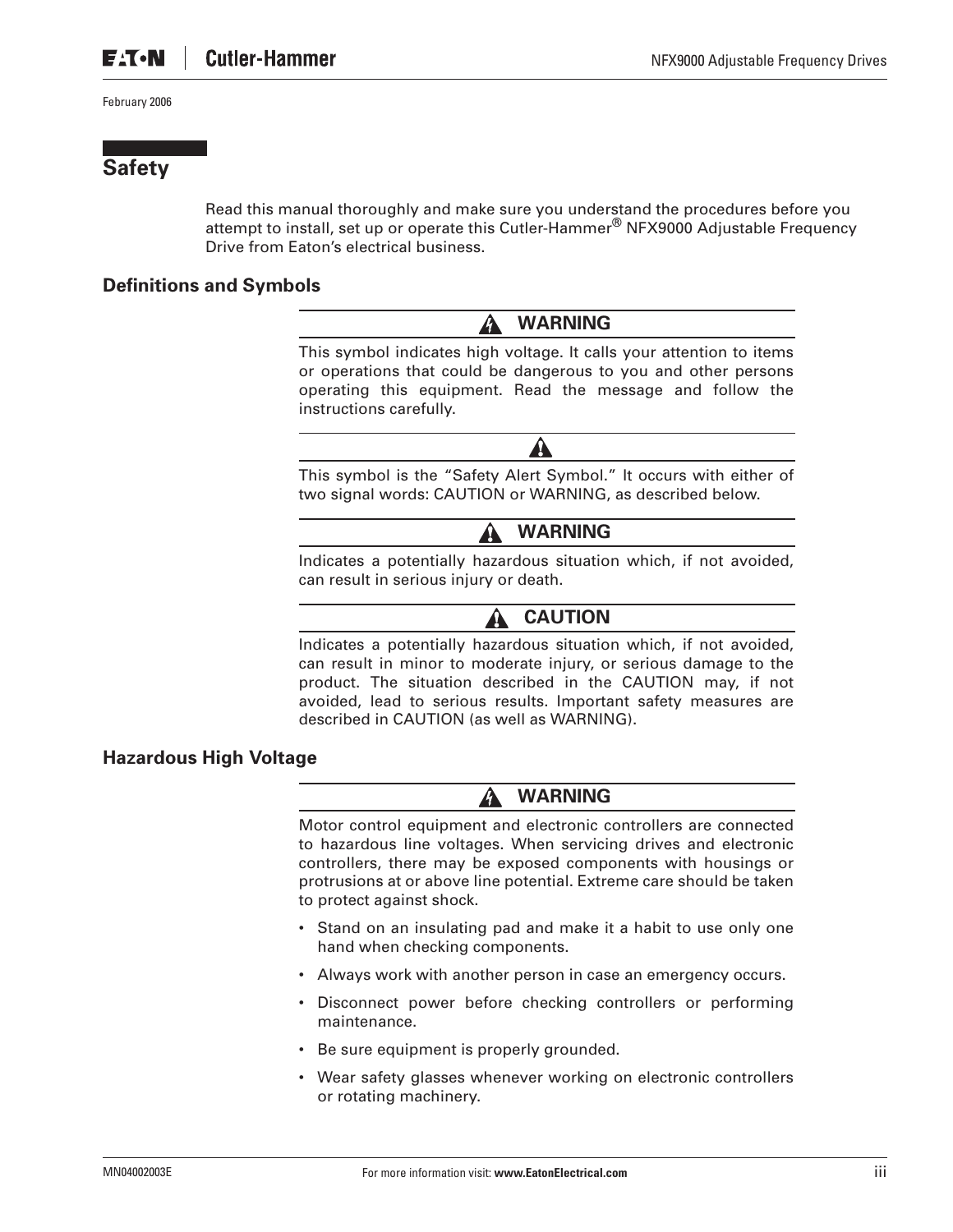### **Safety**

Read this manual thoroughly and make sure you understand the procedures before you attempt to install, set up or operate this Cutler-Hammer® NFX9000 Adjustable Frequency Drive from Eaton's electrical business.

#### **Definitions and Symbols**



This symbol indicates high voltage. It calls your attention to items or operations that could be dangerous to you and other persons operating this equipment. Read the message and follow the instructions carefully.



This symbol is the "Safety Alert Symbol." It occurs with either of two signal words: CAUTION or WARNING, as described below.

### **WARNING**

Indicates a potentially hazardous situation which, if not avoided, can result in serious injury or death.

#### **CAUTION**

Indicates a potentially hazardous situation which, if not avoided, can result in minor to moderate injury, or serious damage to the product. The situation described in the CAUTION may, if not avoided, lead to serious results. Important safety measures are described in CAUTION (as well as WARNING).

#### **Hazardous High Voltage**

#### **WARNING** 41

Motor control equipment and electronic controllers are connected to hazardous line voltages. When servicing drives and electronic controllers, there may be exposed components with housings or protrusions at or above line potential. Extreme care should be taken to protect against shock.

- Stand on an insulating pad and make it a habit to use only one hand when checking components.
- Always work with another person in case an emergency occurs.
- Disconnect power before checking controllers or performing maintenance.
- Be sure equipment is properly grounded.
- Wear safety glasses whenever working on electronic controllers or rotating machinery.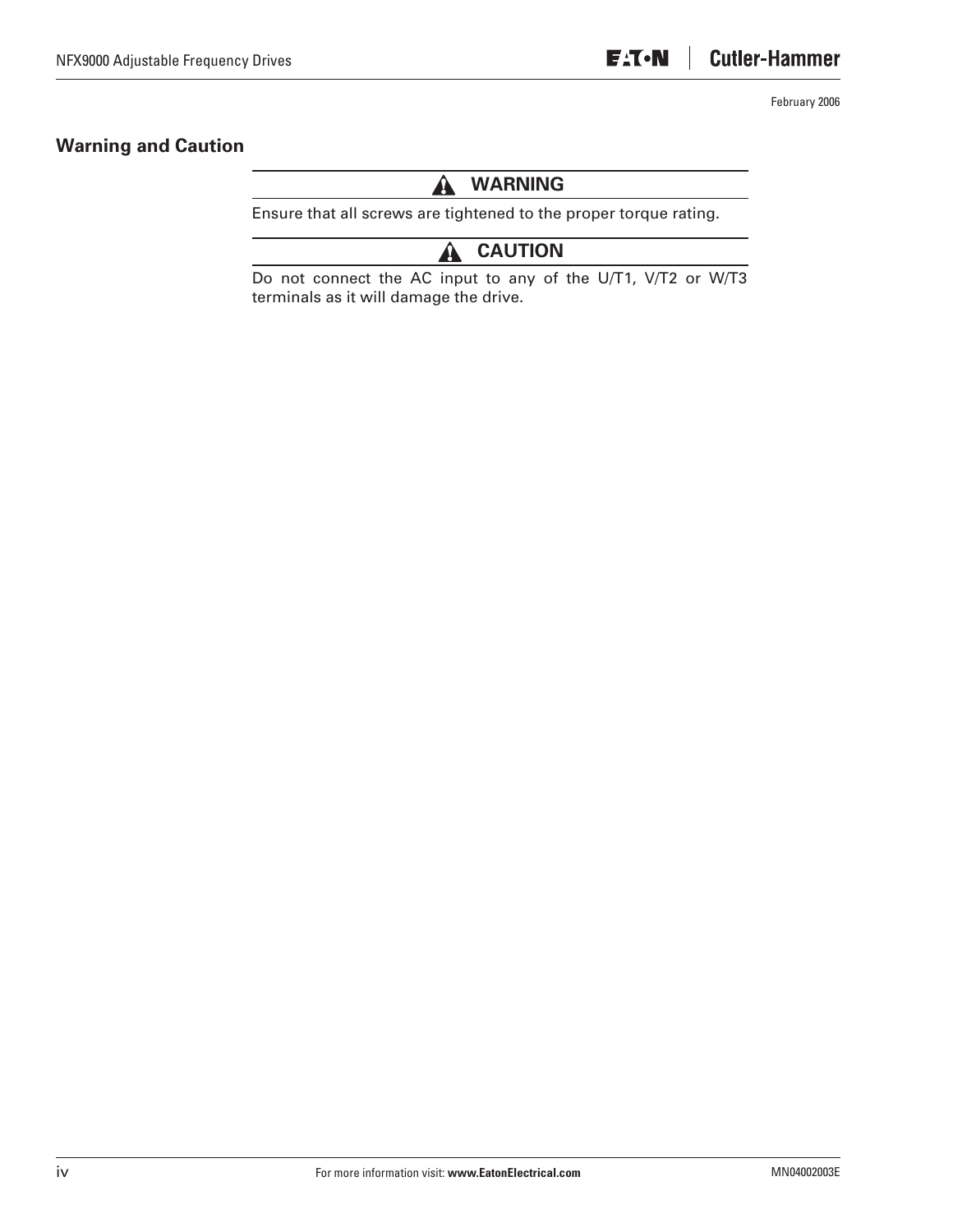#### **Warning and Caution**

#### **WARNING** A

Ensure that all screws are tightened to the proper torque rating.

#### **CAUTION** A

Do not connect the AC input to any of the U/T1, V/T2 or W/T3 terminals as it will damage the drive.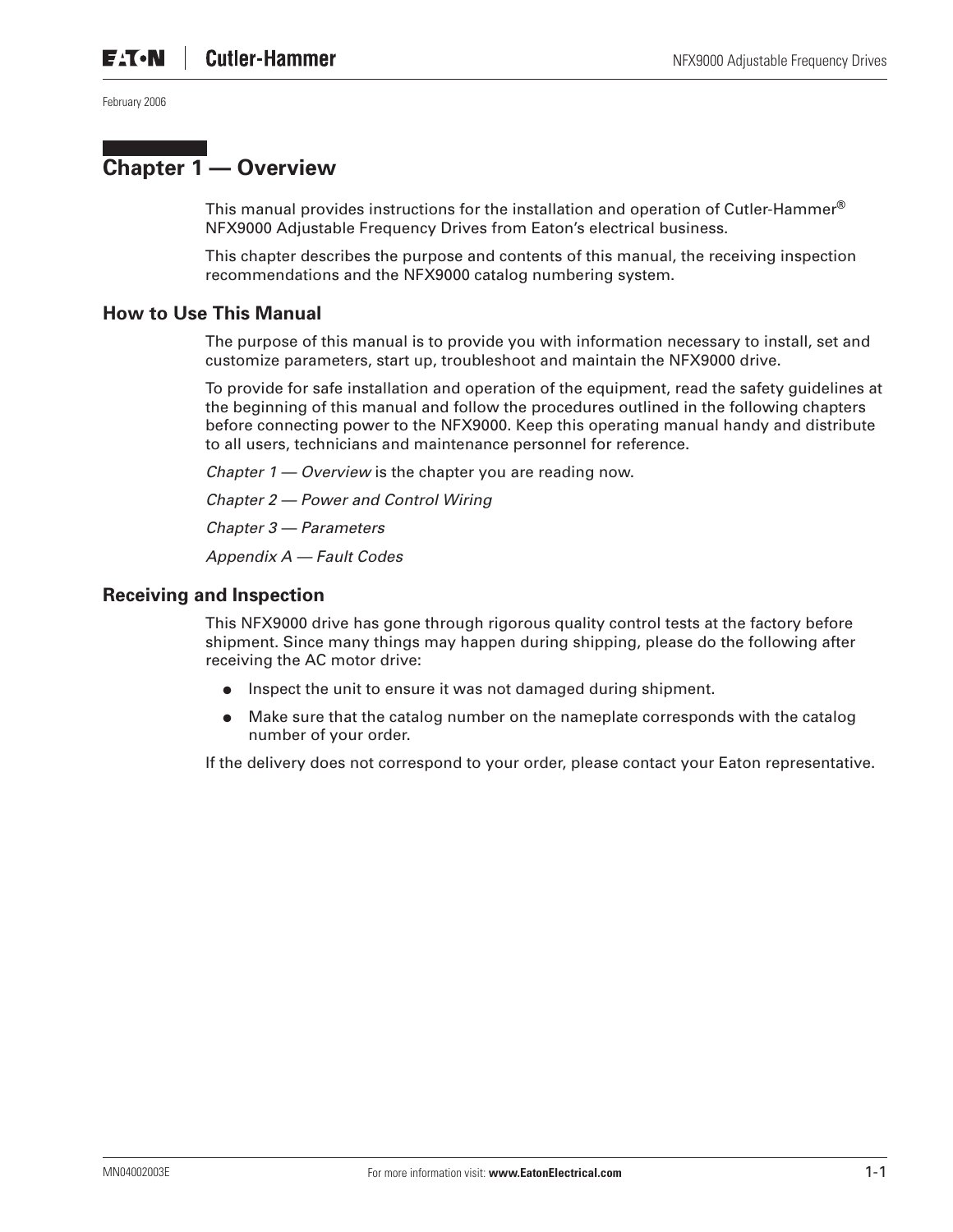## **Chapter 1 — Overview**

This manual provides instructions for the installation and operation of Cutler-Hammer<sup>®</sup> NFX9000 Adjustable Frequency Drives from Eaton's electrical business.

This chapter describes the purpose and contents of this manual, the receiving inspection recommendations and the NFX9000 catalog numbering system.

#### **How to Use This Manual**

The purpose of this manual is to provide you with information necessary to install, set and customize parameters, start up, troubleshoot and maintain the NFX9000 drive.

To provide for safe installation and operation of the equipment, read the safety guidelines at the beginning of this manual and follow the procedures outlined in the following chapters before connecting power to the NFX9000. Keep this operating manual handy and distribute to all users, technicians and maintenance personnel for reference.

*Chapter 1 — Overview* is the chapter you are reading now.

*Chapter 2 — Power and Control Wiring*

*Chapter 3 — Parameters*

*Appendix A — Fault Codes*

#### **Receiving and Inspection**

This NFX9000 drive has gone through rigorous quality control tests at the factory before shipment. Since many things may happen during shipping, please do the following after receiving the AC motor drive:

- Inspect the unit to ensure it was not damaged during shipment.
- Make sure that the catalog number on the nameplate corresponds with the catalog number of your order.

If the delivery does not correspond to your order, please contact your Eaton representative.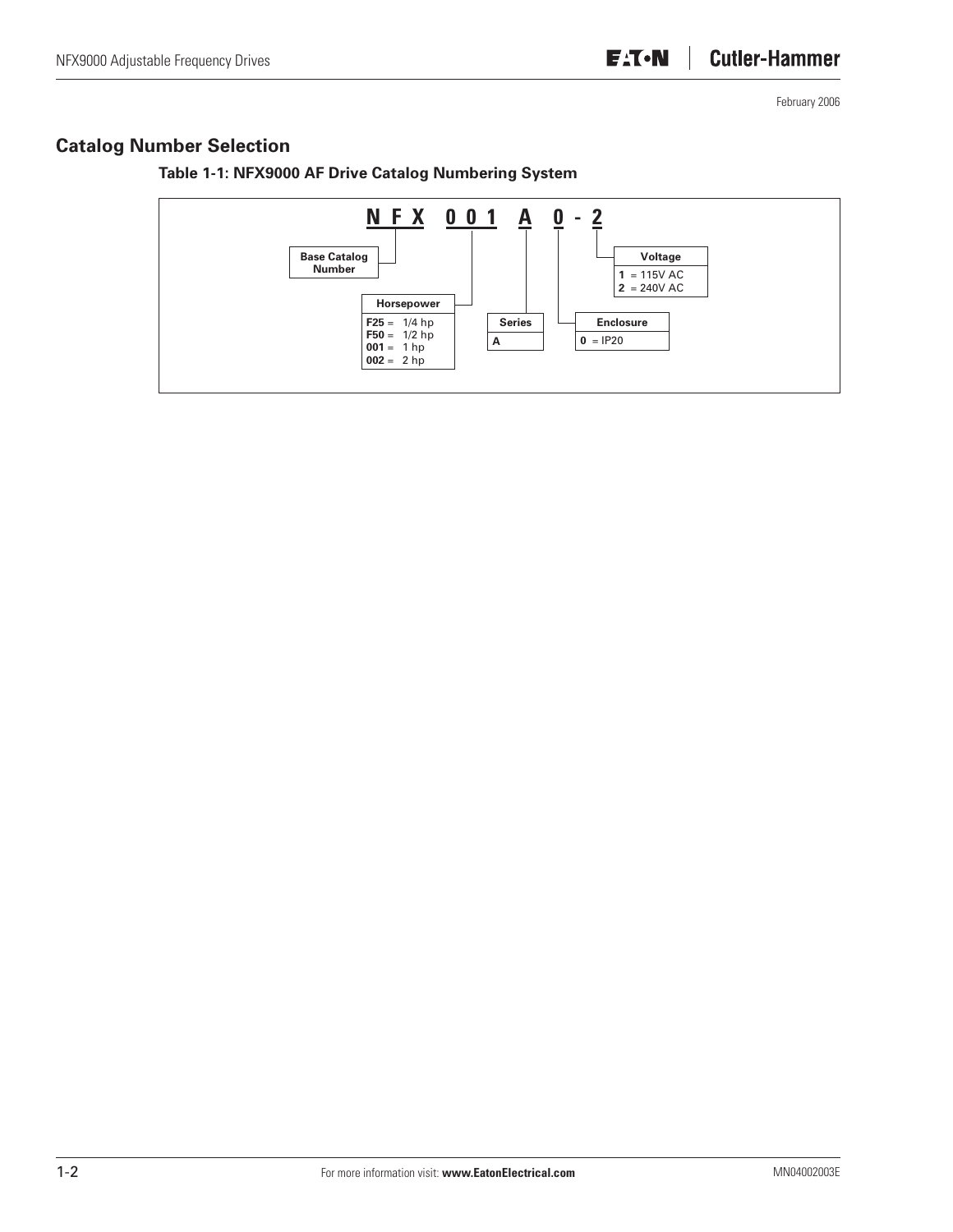### **Catalog Number Selection**



**Table 1-1: NFX9000 AF Drive Catalog Numbering System**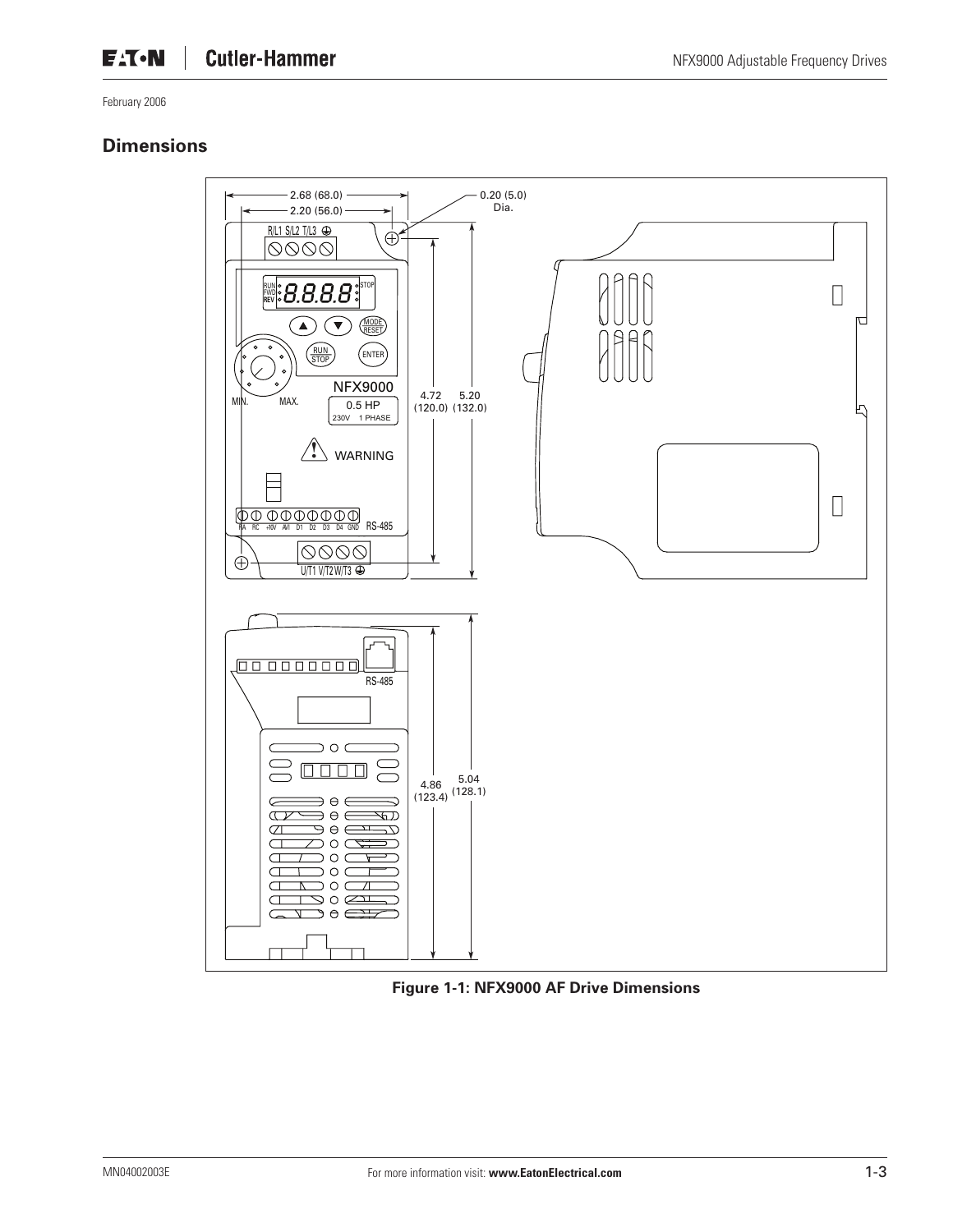### **Dimensions**



**Figure 1-1: NFX9000 AF Drive Dimensions**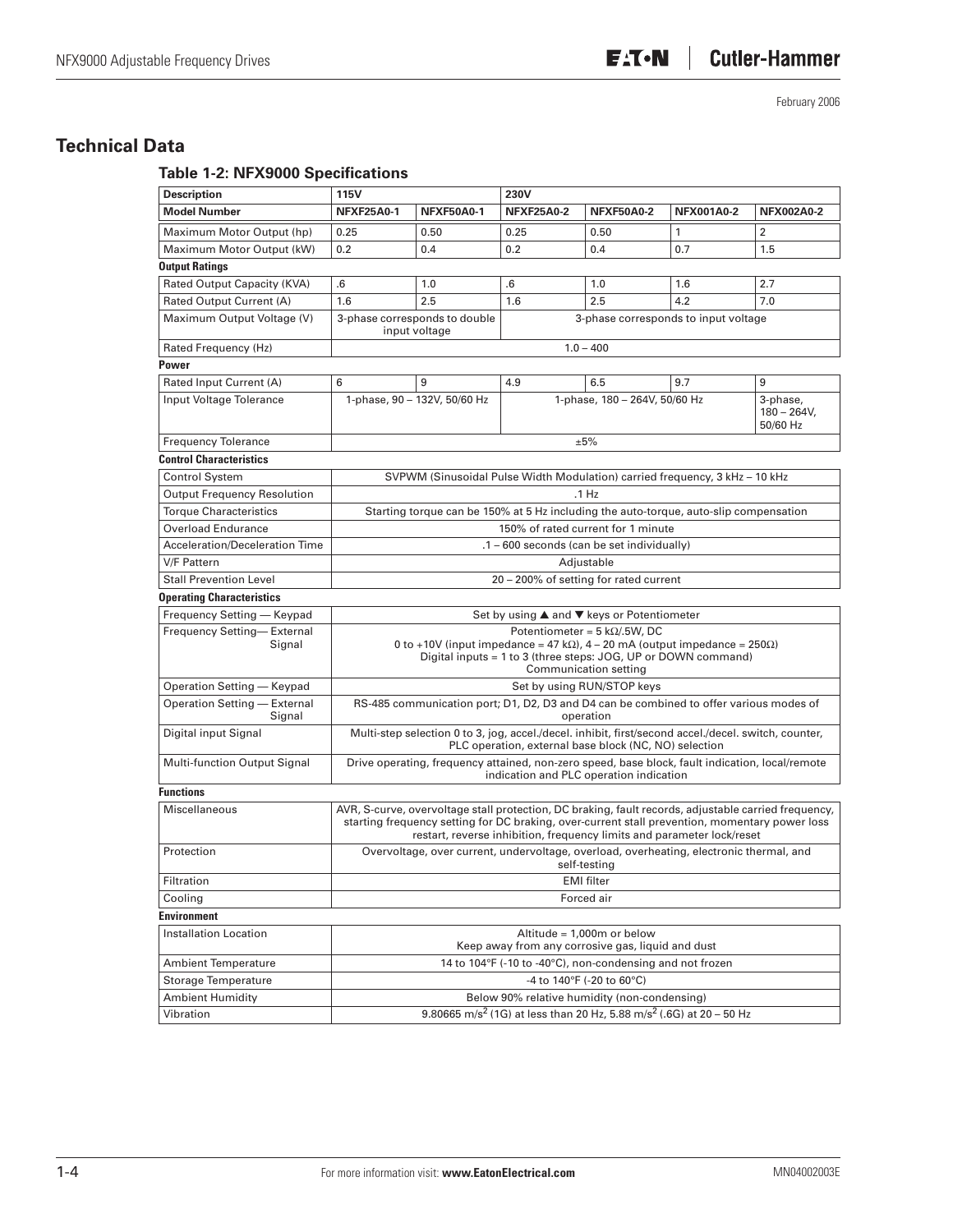### **Technical Data**

### **Table 1-2: NFX9000 Specifications**

| <b>Description</b>                     | <b>115V</b>                                                                                             |                                                | 230V                                                                                                                                                                                                                                                                             |                                                              |     |                                        |  |  |  |
|----------------------------------------|---------------------------------------------------------------------------------------------------------|------------------------------------------------|----------------------------------------------------------------------------------------------------------------------------------------------------------------------------------------------------------------------------------------------------------------------------------|--------------------------------------------------------------|-----|----------------------------------------|--|--|--|
| <b>Model Number</b>                    | <b>NFXF25A0-1</b>                                                                                       | <b>NFXF50A0-1</b>                              | <b>NFXF25A0-2</b>                                                                                                                                                                                                                                                                | <b>NFXF50A0-2</b><br><b>NFX001A0-2</b>                       |     | <b>NFX002A0-2</b>                      |  |  |  |
| Maximum Motor Output (hp)              | 0.25                                                                                                    | 0.50                                           | 0.25                                                                                                                                                                                                                                                                             | 0.50                                                         | 1   | 2                                      |  |  |  |
| Maximum Motor Output (kW)              | 0.2                                                                                                     | 0.4                                            | 0.2                                                                                                                                                                                                                                                                              | 0.4                                                          | 0.7 | 1.5                                    |  |  |  |
| <b>Output Ratings</b>                  |                                                                                                         |                                                |                                                                                                                                                                                                                                                                                  |                                                              |     |                                        |  |  |  |
| Rated Output Capacity (KVA)            | .6                                                                                                      | 1.0                                            | .6                                                                                                                                                                                                                                                                               | 1.0                                                          | 1.6 | 2.7                                    |  |  |  |
| Rated Output Current (A)               | 1.6                                                                                                     | 2.5                                            | 1.6                                                                                                                                                                                                                                                                              | 2.5                                                          | 4.2 | 7.0                                    |  |  |  |
| Maximum Output Voltage (V)             |                                                                                                         | 3-phase corresponds to double<br>input voltage |                                                                                                                                                                                                                                                                                  | 3-phase corresponds to input voltage                         |     |                                        |  |  |  |
| Rated Frequency (Hz)                   |                                                                                                         |                                                |                                                                                                                                                                                                                                                                                  | $1.0 - 400$                                                  |     |                                        |  |  |  |
| Power                                  |                                                                                                         |                                                |                                                                                                                                                                                                                                                                                  |                                                              |     |                                        |  |  |  |
| Rated Input Current (A)                | 6                                                                                                       | 9                                              | 4.9                                                                                                                                                                                                                                                                              | 6.5                                                          | 9.7 | 9                                      |  |  |  |
| Input Voltage Tolerance                |                                                                                                         | 1-phase, 90 - 132V, 50/60 Hz                   |                                                                                                                                                                                                                                                                                  | 1-phase, 180 - 264V, 50/60 Hz                                |     | 3-phase,<br>$180 - 264V$ ,<br>50/60 Hz |  |  |  |
| <b>Frequency Tolerance</b>             |                                                                                                         |                                                |                                                                                                                                                                                                                                                                                  | ±5%                                                          |     |                                        |  |  |  |
| <b>Control Characteristics</b>         |                                                                                                         |                                                |                                                                                                                                                                                                                                                                                  |                                                              |     |                                        |  |  |  |
| <b>Control System</b>                  |                                                                                                         |                                                | SVPWM (Sinusoidal Pulse Width Modulation) carried frequency, 3 kHz - 10 kHz                                                                                                                                                                                                      |                                                              |     |                                        |  |  |  |
| <b>Output Frequency Resolution</b>     |                                                                                                         |                                                |                                                                                                                                                                                                                                                                                  | .1 Hz                                                        |     |                                        |  |  |  |
| <b>Torque Characteristics</b>          |                                                                                                         |                                                | Starting torque can be 150% at 5 Hz including the auto-torque, auto-slip compensation                                                                                                                                                                                            |                                                              |     |                                        |  |  |  |
| <b>Overload Endurance</b>              |                                                                                                         |                                                | 150% of rated current for 1 minute                                                                                                                                                                                                                                               |                                                              |     |                                        |  |  |  |
| Acceleration/Deceleration Time         |                                                                                                         |                                                | .1 - 600 seconds (can be set individually)                                                                                                                                                                                                                                       |                                                              |     |                                        |  |  |  |
| V/F Pattern                            | Adjustable                                                                                              |                                                |                                                                                                                                                                                                                                                                                  |                                                              |     |                                        |  |  |  |
| <b>Stall Prevention Level</b>          |                                                                                                         |                                                | 20 - 200% of setting for rated current                                                                                                                                                                                                                                           |                                                              |     |                                        |  |  |  |
| <b>Operating Characteristics</b>       |                                                                                                         |                                                |                                                                                                                                                                                                                                                                                  |                                                              |     |                                        |  |  |  |
| Frequency Setting - Keypad             |                                                                                                         |                                                | Set by using ▲ and ▼ keys or Potentiometer                                                                                                                                                                                                                                       |                                                              |     |                                        |  |  |  |
| Frequency Setting-External<br>Signal   |                                                                                                         |                                                | 0 to +10V (input impedance = 47 k $\Omega$ ), 4 – 20 mA (output impedance = 250 $\Omega$ )<br>Digital inputs = 1 to 3 (three steps: JOG, UP or DOWN command)                                                                                                                     | Potentiometer = $5 k\Omega/5W$ , DC<br>Communication setting |     |                                        |  |  |  |
| Operation Setting - Keypad             |                                                                                                         |                                                |                                                                                                                                                                                                                                                                                  | Set by using RUN/STOP keys                                   |     |                                        |  |  |  |
| Operation Setting - External<br>Signal |                                                                                                         |                                                | RS-485 communication port; D1, D2, D3 and D4 can be combined to offer various modes of                                                                                                                                                                                           | operation                                                    |     |                                        |  |  |  |
| Digital input Signal                   |                                                                                                         |                                                | Multi-step selection 0 to 3, jog, accel./decel. inhibit, first/second accel./decel. switch, counter,<br>PLC operation, external base block (NC, NO) selection                                                                                                                    |                                                              |     |                                        |  |  |  |
| <b>Multi-function Output Signal</b>    |                                                                                                         |                                                | Drive operating, frequency attained, non-zero speed, base block, fault indication, local/remote<br>indication and PLC operation indication                                                                                                                                       |                                                              |     |                                        |  |  |  |
| <b>Functions</b>                       |                                                                                                         |                                                |                                                                                                                                                                                                                                                                                  |                                                              |     |                                        |  |  |  |
| Miscellaneous                          |                                                                                                         |                                                | AVR, S-curve, overvoltage stall protection, DC braking, fault records, adjustable carried frequency,<br>starting frequency setting for DC braking, over-current stall prevention, momentary power loss<br>restart, reverse inhibition, frequency limits and parameter lock/reset |                                                              |     |                                        |  |  |  |
| Protection                             | Overvoltage, over current, undervoltage, overload, overheating, electronic thermal, and<br>self-testing |                                                |                                                                                                                                                                                                                                                                                  |                                                              |     |                                        |  |  |  |
| Filtration                             | <b>EMI</b> filter                                                                                       |                                                |                                                                                                                                                                                                                                                                                  |                                                              |     |                                        |  |  |  |
| Cooling                                | Forced air                                                                                              |                                                |                                                                                                                                                                                                                                                                                  |                                                              |     |                                        |  |  |  |
| <b>Environment</b>                     |                                                                                                         |                                                |                                                                                                                                                                                                                                                                                  |                                                              |     |                                        |  |  |  |
| <b>Installation Location</b>           |                                                                                                         |                                                | Altitude = 1.000m or below<br>Keep away from any corrosive gas, liquid and dust                                                                                                                                                                                                  |                                                              |     |                                        |  |  |  |
| <b>Ambient Temperature</b>             | 14 to 104°F (-10 to -40°C), non-condensing and not frozen                                               |                                                |                                                                                                                                                                                                                                                                                  |                                                              |     |                                        |  |  |  |
| Storage Temperature                    |                                                                                                         |                                                |                                                                                                                                                                                                                                                                                  | -4 to 140°F (-20 to 60°C)                                    |     |                                        |  |  |  |
| <b>Ambient Humidity</b>                |                                                                                                         |                                                | Below 90% relative humidity (non-condensing)                                                                                                                                                                                                                                     |                                                              |     |                                        |  |  |  |
| Vibration                              | 9.80665 m/s <sup>2</sup> (1G) at less than 20 Hz, 5.88 m/s <sup>2</sup> (.6G) at 20 - 50 Hz             |                                                |                                                                                                                                                                                                                                                                                  |                                                              |     |                                        |  |  |  |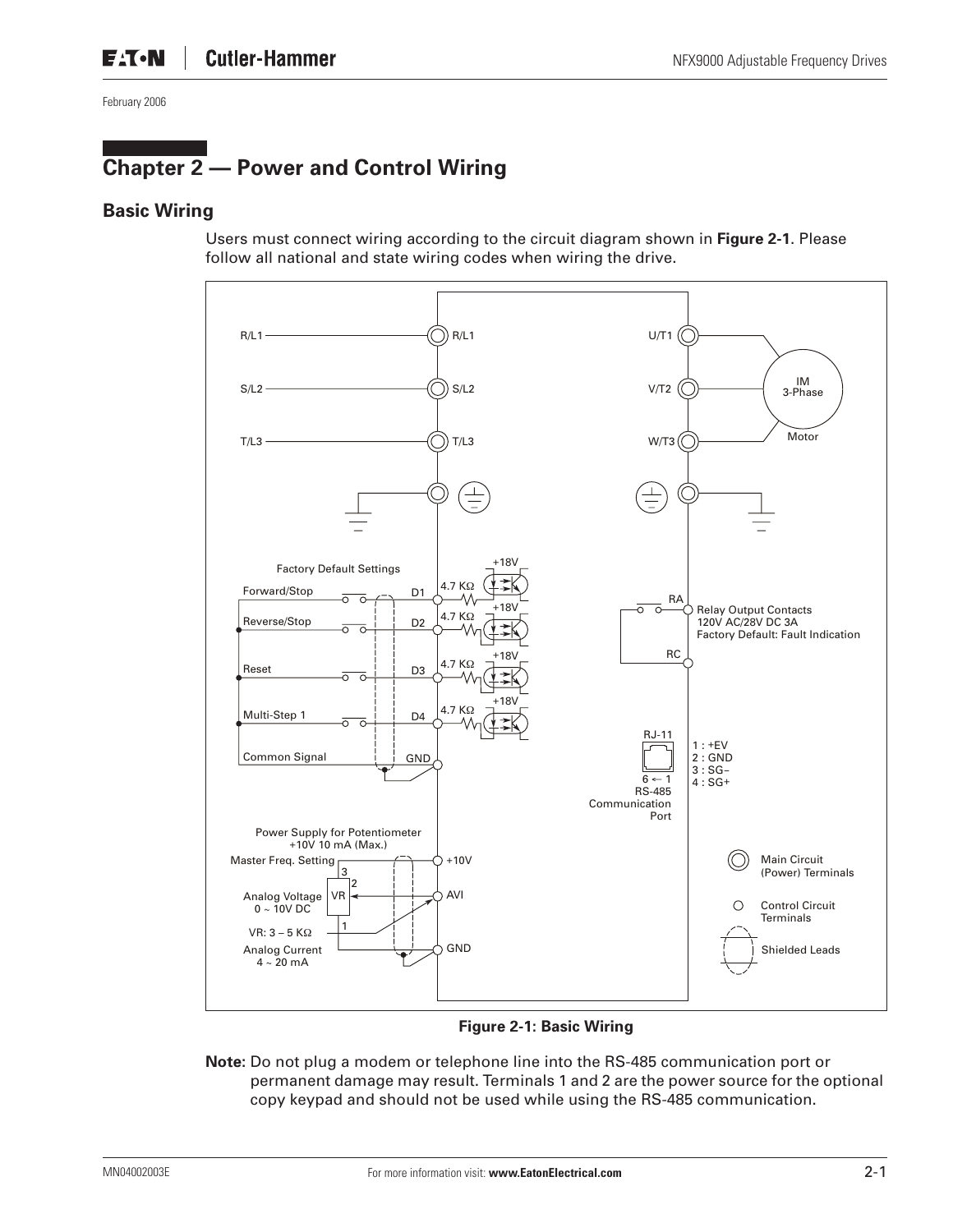# **Chapter 2 — Power and Control Wiring**

#### **Basic Wiring**

Users must connect wiring according to the circuit diagram shown in **Figure 2-1**. Please follow all national and state wiring codes when wiring the drive.



**Figure 2-1: Basic Wiring**

**Note:** Do not plug a modem or telephone line into the RS-485 communication port or permanent damage may result. Terminals 1 and 2 are the power source for the optional copy keypad and should not be used while using the RS-485 communication.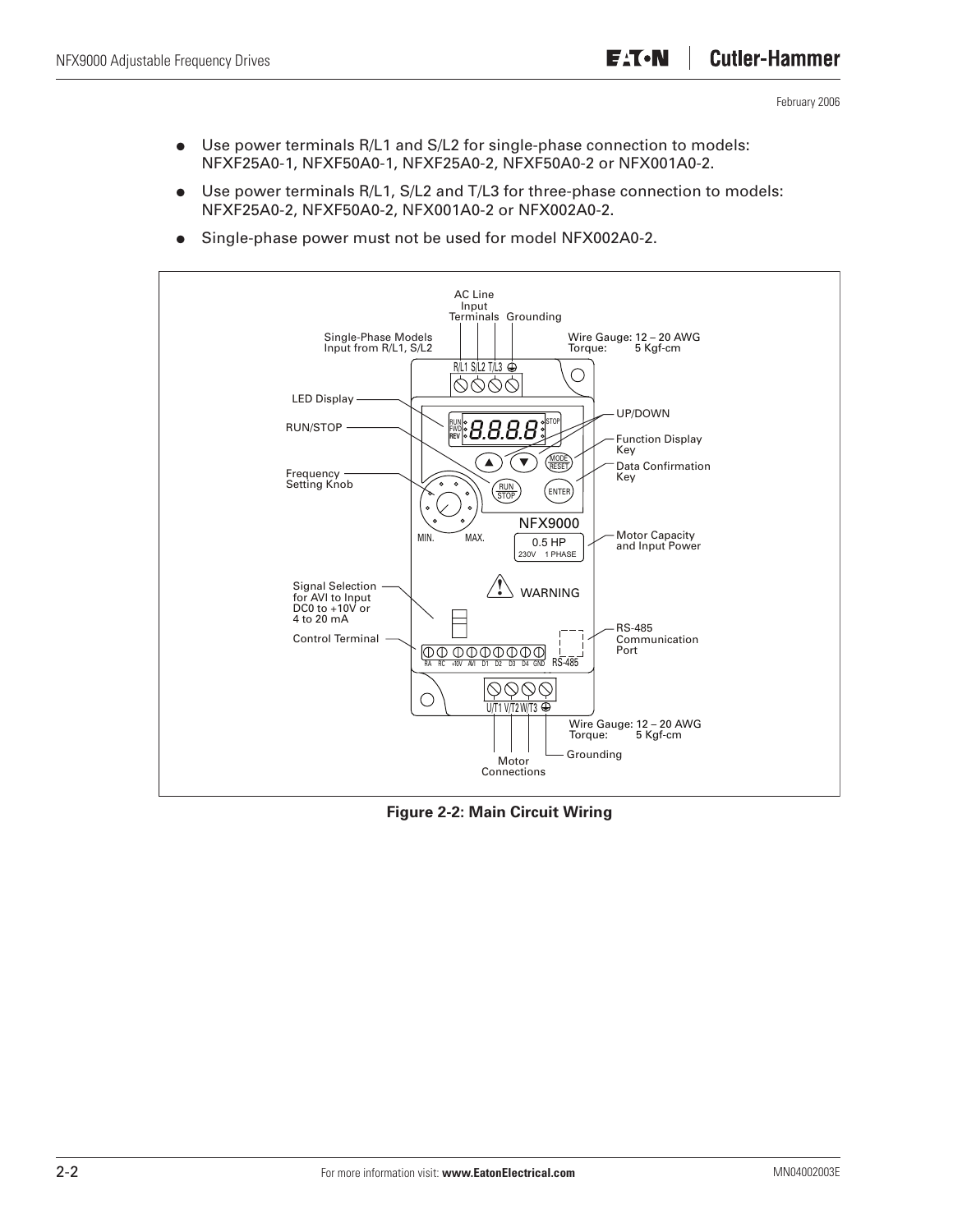- Use power terminals R/L1 and S/L2 for single-phase connection to models: NFXF25A0-1, NFXF50A0-1, NFXF25A0-2, NFXF50A0-2 or NFX001A0-2.
- Use power terminals R/L1, S/L2 and T/L3 for three-phase connection to models: NFXF25A0-2, NFXF50A0-2, NFX001A0-2 or NFX002A0-2.
- Single-phase power must not be used for model NFX002A0-2.



**Figure 2-2: Main Circuit Wiring**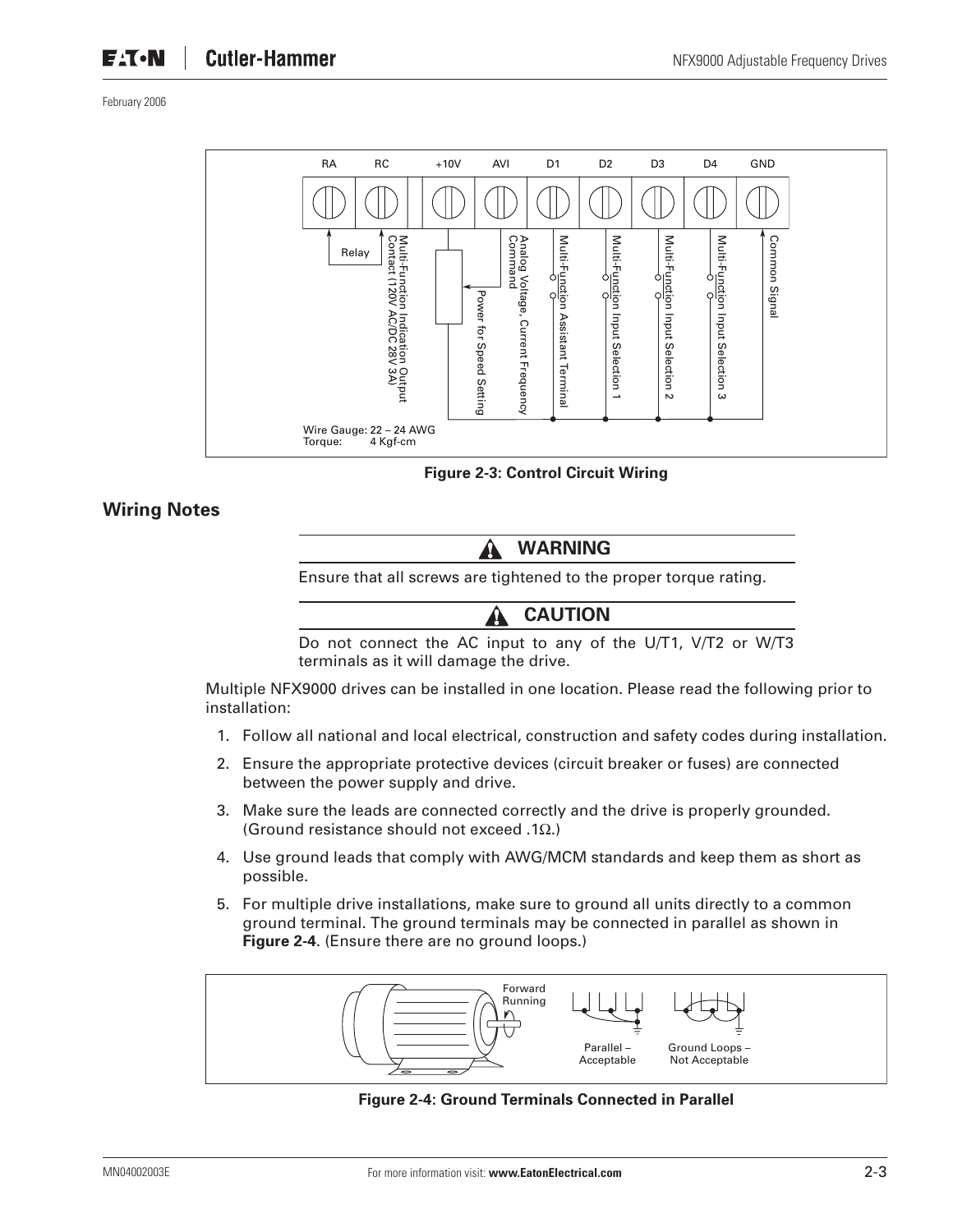

**Figure 2-3: Control Circuit Wiring**

### **Wiring Notes**

**WARNING**

Ensure that all screws are tightened to the proper torque rating.

**CAUTION**

Do not connect the AC input to any of the U/T1, V/T2 or W/T3 terminals as it will damage the drive.

Multiple NFX9000 drives can be installed in one location. Please read the following prior to installation:

- 1. Follow all national and local electrical, construction and safety codes during installation.
- 2. Ensure the appropriate protective devices (circuit breaker or fuses) are connected between the power supply and drive.
- 3. Make sure the leads are connected correctly and the drive is properly grounded. (Ground resistance should not exceed .1Ω.)
- 4. Use ground leads that comply with AWG/MCM standards and keep them as short as possible.
- 5. For multiple drive installations, make sure to ground all units directly to a common ground terminal. The ground terminals may be connected in parallel as shown in **Figure 2-4**. (Ensure there are no ground loops.)



**Figure 2-4: Ground Terminals Connected in Parallel**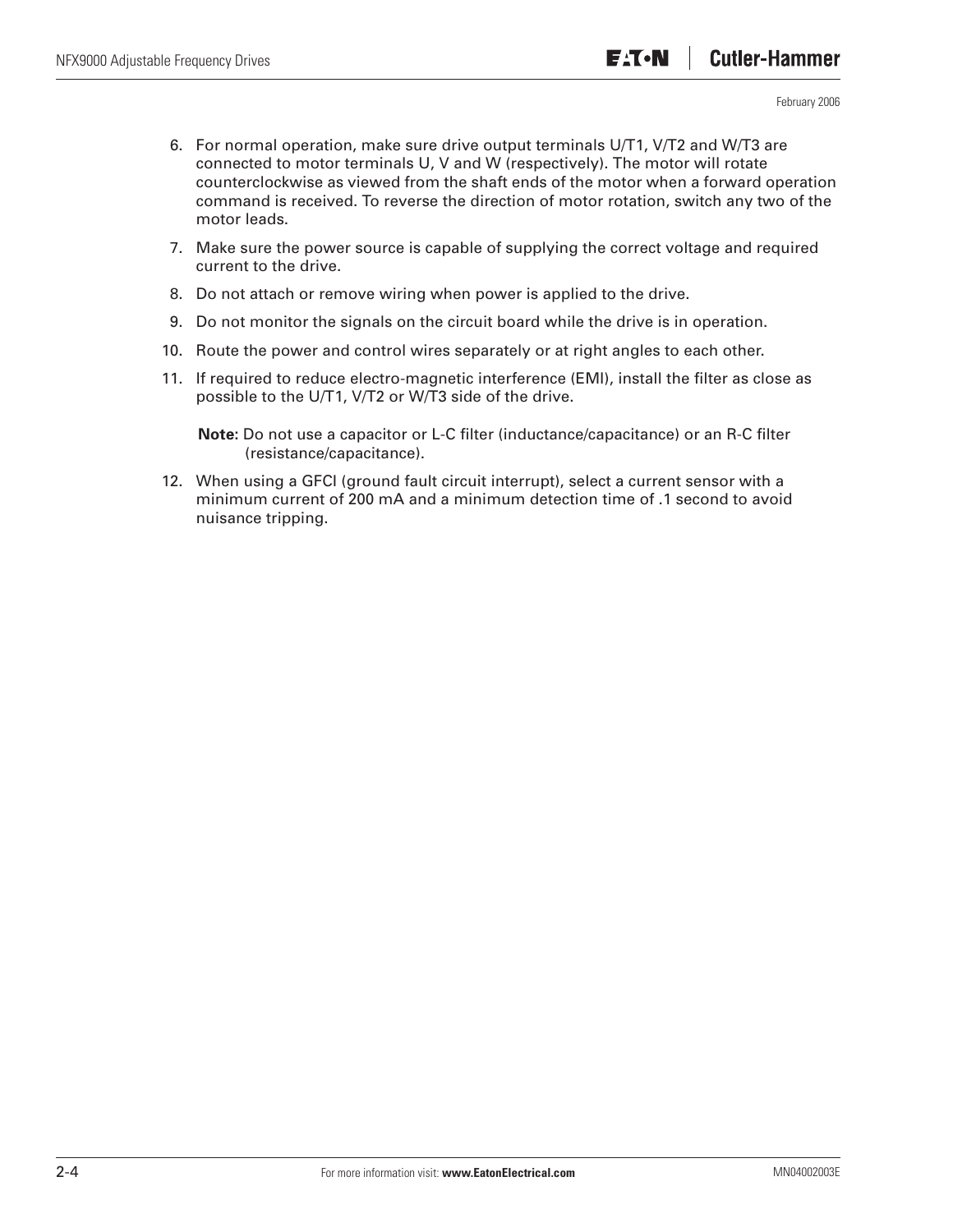- 6. For normal operation, make sure drive output terminals U/T1, V/T2 and W/T3 are connected to motor terminals U, V and W (respectively). The motor will rotate counterclockwise as viewed from the shaft ends of the motor when a forward operation command is received. To reverse the direction of motor rotation, switch any two of the motor leads.
- 7. Make sure the power source is capable of supplying the correct voltage and required current to the drive.
- 8. Do not attach or remove wiring when power is applied to the drive.
- 9. Do not monitor the signals on the circuit board while the drive is in operation.
- 10. Route the power and control wires separately or at right angles to each other.
- 11. If required to reduce electro-magnetic interference (EMI), install the filter as close as possible to the U/T1, V/T2 or W/T3 side of the drive.

**Note:** Do not use a capacitor or L-C filter (inductance/capacitance) or an R-C filter (resistance/capacitance).

12. When using a GFCI (ground fault circuit interrupt), select a current sensor with a minimum current of 200 mA and a minimum detection time of .1 second to avoid nuisance tripping.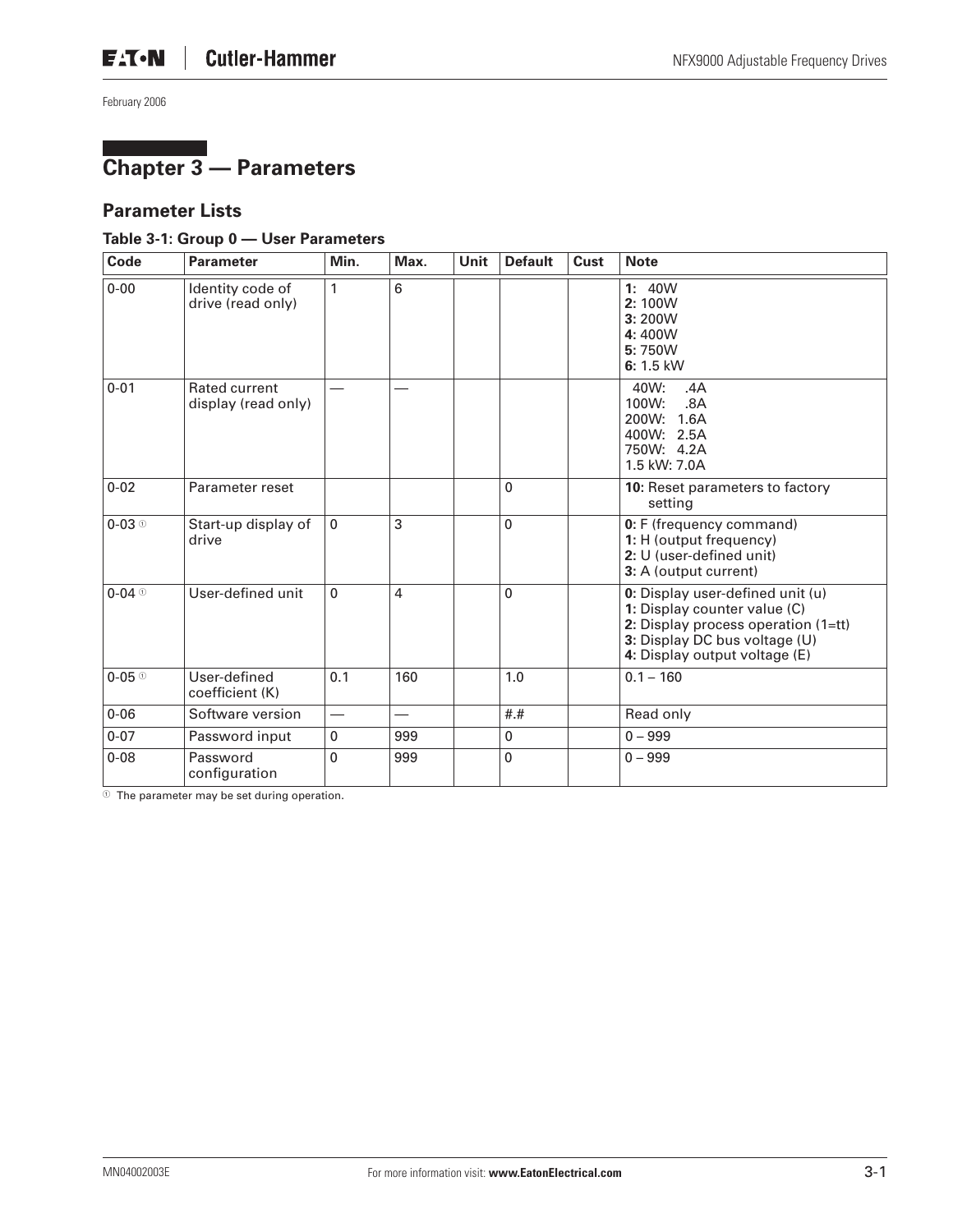# **Chapter 3 — Parameters**

#### **Parameter Lists**

#### **Table 3-1: Group 0 — User Parameters**

| Code                                 | <b>Parameter</b>                      | Min.                     | Max. | Unit | <b>Default</b> | <b>Cust</b> | <b>Note</b>                                                                                                                                                               |
|--------------------------------------|---------------------------------------|--------------------------|------|------|----------------|-------------|---------------------------------------------------------------------------------------------------------------------------------------------------------------------------|
| $0 - 00$                             | Identity code of<br>drive (read only) | 1                        | 6    |      |                |             | 1: 40W<br>2:100W<br>3:200W<br>4:400W<br>5:750W<br>$6: 1.5$ kW                                                                                                             |
| $0 - 01$                             | Rated current<br>display (read only)  |                          |      |      |                |             | 40W:<br>.4A<br>100W:<br>.8A<br>200W: 1.6A<br>400W: 2.5A<br>750W: 4.2A<br>1.5 kW: 7.0A                                                                                     |
| $0 - 02$                             | Parameter reset                       |                          |      |      | $\mathbf 0$    |             | 10: Reset parameters to factory<br>setting                                                                                                                                |
| $0-03$ <sup><math>\circ</math></sup> | Start-up display of<br>drive          | 0                        | 3    |      | 0              |             | 0: F (frequency command)<br>1: H (output frequency)<br>2: U (user-defined unit)<br>3: A (output current)                                                                  |
| $0 - 04$ <sup>①</sup>                | User-defined unit                     | 0                        | 4    |      | $\mathbf 0$    |             | 0: Display user-defined unit (u)<br>1: Display counter value (C)<br>2: Display process operation (1=tt)<br>3: Display DC bus voltage (U)<br>4: Display output voltage (E) |
| $0-05$ <sup>①</sup>                  | User-defined<br>coefficient (K)       | 0.1                      | 160  |      | 1.0            |             | $0.1 - 160$                                                                                                                                                               |
| $0 - 06$                             | Software version                      | $\overline{\phantom{0}}$ |      |      | # .#           |             | Read only                                                                                                                                                                 |
| $0 - 07$                             | Password input                        | 0                        | 999  |      | $\mathbf{0}$   |             | $0 - 999$                                                                                                                                                                 |
| $0 - 08$                             | Password<br>configuration             | 0                        | 999  |      | 0              |             | $0 - 999$                                                                                                                                                                 |

 $\overline{\textcircled{\tiny{1}}}$  The parameter may be set during operation.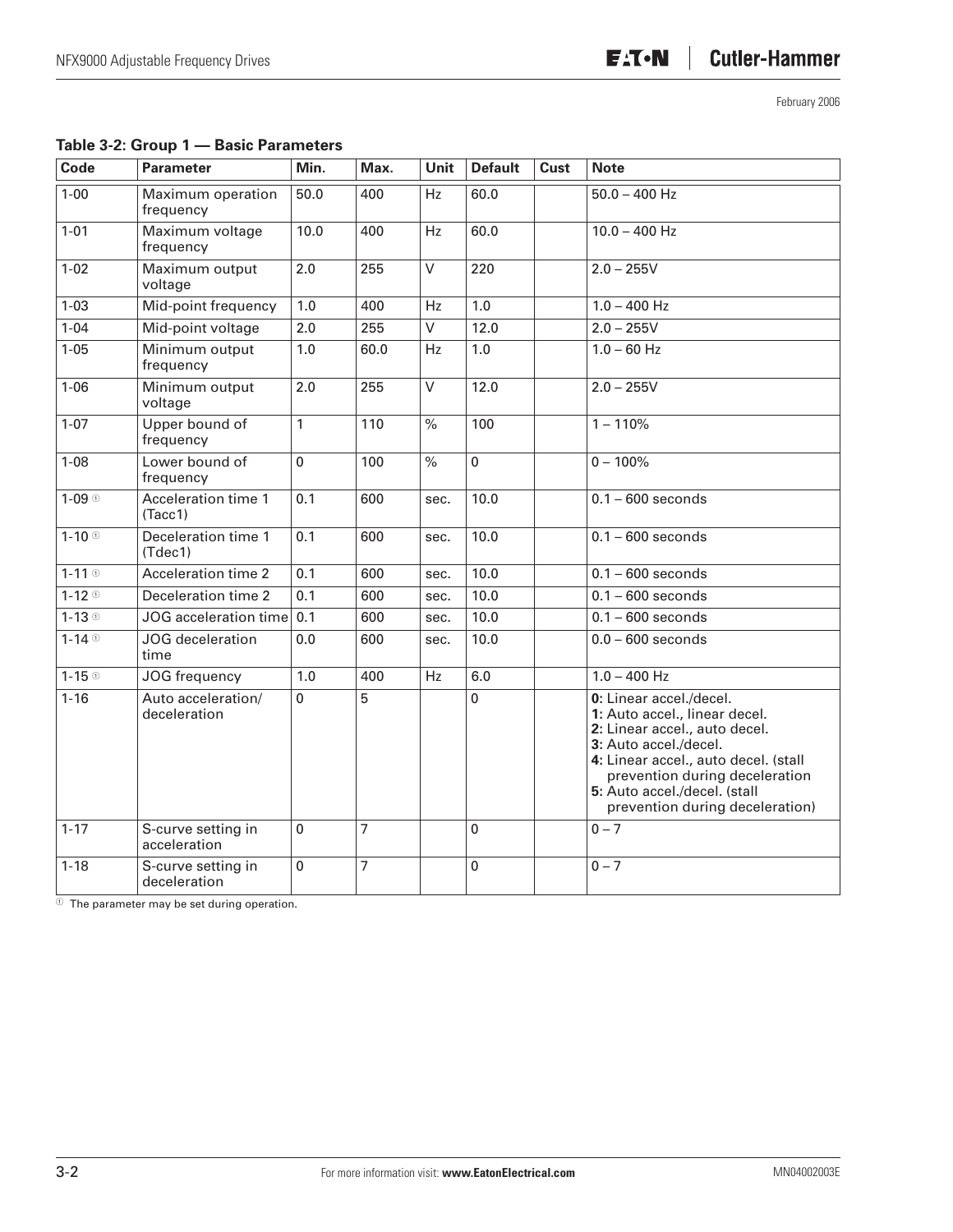| Code                | <b>Parameter</b>                   | Min.           | Max. | Unit                     | <b>Default</b> | <b>Cust</b> | <b>Note</b>                                                                                                                                                                                                                                                     |
|---------------------|------------------------------------|----------------|------|--------------------------|----------------|-------------|-----------------------------------------------------------------------------------------------------------------------------------------------------------------------------------------------------------------------------------------------------------------|
| $1 - 00$            | Maximum operation<br>frequency     | 50.0           | 400  | Hz                       | 60.0           |             | $50.0 - 400$ Hz                                                                                                                                                                                                                                                 |
| $1 - 01$            | Maximum voltage<br>frequency       | 10.0           | 400  | Hz                       | 60.0           |             | $10.0 - 400$ Hz                                                                                                                                                                                                                                                 |
| $1 - 02$            | Maximum output<br>voltage          | 2.0            | 255  | $\vee$                   | 220            |             | $2.0 - 255V$                                                                                                                                                                                                                                                    |
| $1 - 03$            | Mid-point frequency                | 1.0            | 400  | Hz                       | 1.0            |             | $1.0 - 400$ Hz                                                                                                                                                                                                                                                  |
| $1 - 04$            | Mid-point voltage                  | 2.0            | 255  | $\overline{\vee}$        | 12.0           |             | $2.0 - 255V$                                                                                                                                                                                                                                                    |
| $1 - 05$            | Minimum output<br>frequency        | 1.0            | 60.0 | Hz                       | 1.0            |             | $1.0 - 60$ Hz                                                                                                                                                                                                                                                   |
| $1 - 06$            | Minimum output<br>voltage          | 2.0            | 255  | $\overline{\vee}$        | 12.0           |             | $2.0 - 255V$                                                                                                                                                                                                                                                    |
| $1 - 07$            | Upper bound of<br>frequency        | 1              | 110  | $\%$                     | 100            |             | $1 - 110%$                                                                                                                                                                                                                                                      |
| $1 - 08$            | Lower bound of<br>frequency        | $\Omega$       | 100  | $\overline{\frac{9}{6}}$ | 0              |             | $0 - 100%$                                                                                                                                                                                                                                                      |
| $1-09$              | Acceleration time 1<br>(Tacc1)     | 0.1            | 600  | sec.                     | 10.0           |             | $0.1 - 600$ seconds                                                                                                                                                                                                                                             |
| $1-10$ <sup>①</sup> | Deceleration time 1<br>(Tdec1)     | 0.1            | 600  | sec.                     | 10.0           |             | $0.1 - 600$ seconds                                                                                                                                                                                                                                             |
| $1-11$ <sup>①</sup> | <b>Acceleration time 2</b>         | 0.1            | 600  | sec.                     | 10.0           |             | $0.1 - 600$ seconds                                                                                                                                                                                                                                             |
| $1-12$ <sup>o</sup> | Deceleration time 2                | 0.1            | 600  | sec.                     | 10.0           |             | $0.1 - 600$ seconds                                                                                                                                                                                                                                             |
| $1-13$ <sup>O</sup> | JOG acceleration time              | 0.1            | 600  | sec.                     | 10.0           |             | $0.1 - 600$ seconds                                                                                                                                                                                                                                             |
| $1-14$ $\circ$      | JOG deceleration<br>time           | 0.0            | 600  | sec.                     | 10.0           |             | $0.0 - 600$ seconds                                                                                                                                                                                                                                             |
| $1-15$ <sup>o</sup> | JOG frequency                      | 1.0            | 400  | Hz                       | 6.0            |             | $1.0 - 400$ Hz                                                                                                                                                                                                                                                  |
| $1 - 16$            | Auto acceleration/<br>deceleration | $\overline{0}$ | 5    |                          | 0              |             | 0: Linear accel./decel.<br>1: Auto accel., linear decel.<br>2: Linear accel., auto decel.<br>3: Auto accel./decel.<br>4: Linear accel., auto decel. (stall<br>prevention during deceleration<br>5: Auto accel./decel. (stall<br>prevention during deceleration) |
| $1 - 17$            | S-curve setting in<br>acceleration | $\mathbf 0$    | 7    |                          | $\mathbf 0$    |             | $0 - 7$                                                                                                                                                                                                                                                         |
| $1 - 18$            | S-curve setting in<br>deceleration | $\mathbf 0$    | 7    |                          | 0              |             | $0 - 7$                                                                                                                                                                                                                                                         |

 $\Phi$  The parameter may be set during operation.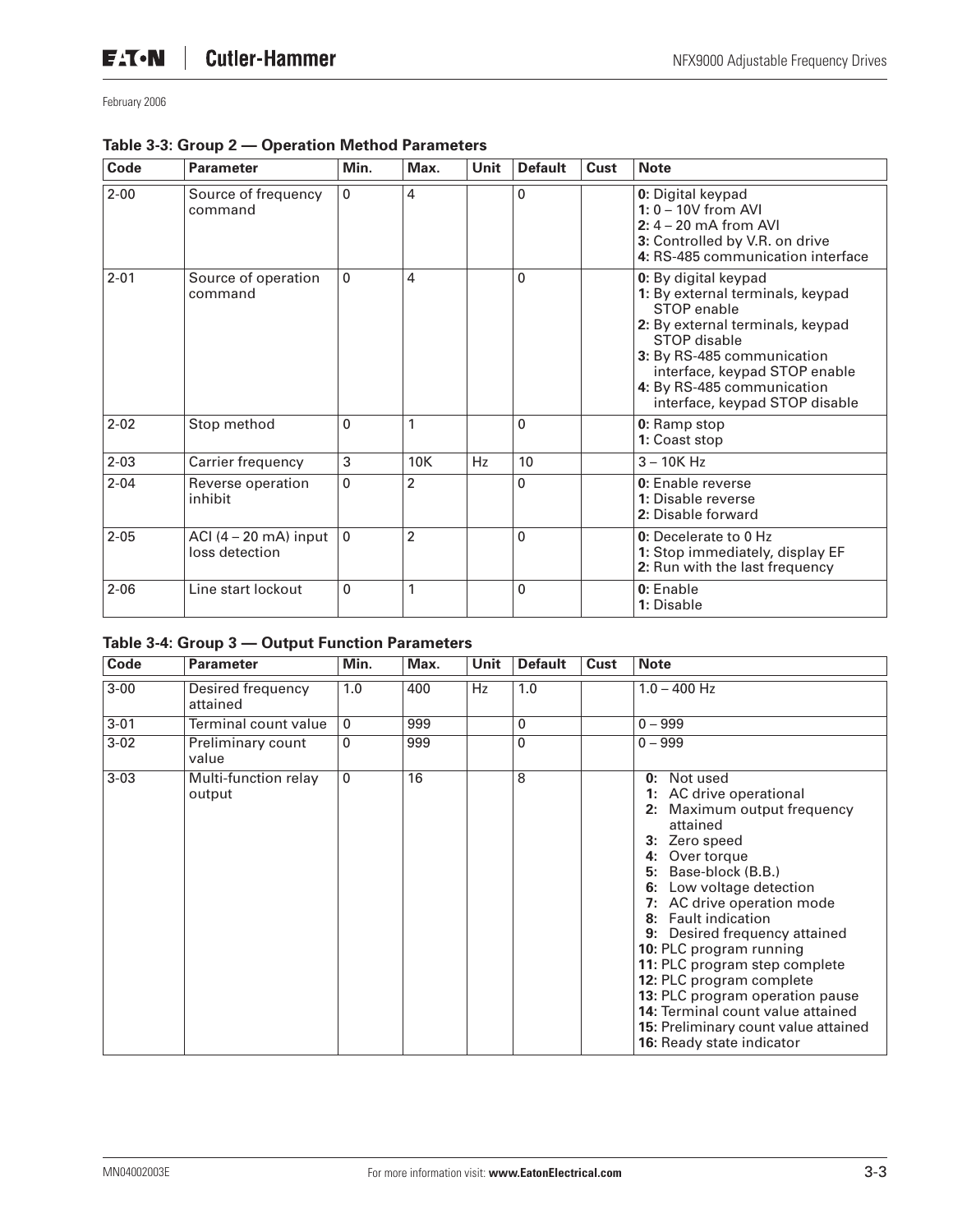| Code     | <b>Parameter</b>                                  | Min.         | Max.           | Unit | <b>Default</b> | Cust | <b>Note</b>                                                                                                                                                                                                                                                |
|----------|---------------------------------------------------|--------------|----------------|------|----------------|------|------------------------------------------------------------------------------------------------------------------------------------------------------------------------------------------------------------------------------------------------------------|
| $2 - 00$ | Source of frequency<br>command                    | $\mathbf{0}$ | 4              |      | 0              |      | 0: Digital keypad<br>$1: 0 - 10V$ from AVI<br>$2: 4 - 20$ mA from AVI<br>3: Controlled by V.R. on drive<br>4: RS-485 communication interface                                                                                                               |
| $2 - 01$ | Source of operation<br>command                    | 0            | 4              |      | $\mathbf{0}$   |      | 0: By digital keypad<br>1: By external terminals, keypad<br>STOP enable<br>2: By external terminals, keypad<br>STOP disable<br>3: By RS-485 communication<br>interface, keypad STOP enable<br>4: By RS-485 communication<br>interface, keypad STOP disable |
| $2 - 02$ | Stop method                                       | 0            | 1              |      | $\mathbf 0$    |      | 0: Ramp stop<br>1: Coast stop                                                                                                                                                                                                                              |
| $2 - 03$ | Carrier frequency                                 | 3            | 10K            | Hz   | 10             |      | $3 - 10K$ Hz                                                                                                                                                                                                                                               |
| $2 - 04$ | Reverse operation<br>inhibit                      | $\Omega$     | $\overline{2}$ |      | $\mathbf{0}$   |      | 0: Enable reverse<br>1: Disable reverse<br>2: Disable forward                                                                                                                                                                                              |
| $2 - 05$ | ACI $(4 - 20 \text{ mA})$ input<br>loss detection | $\mathbf{0}$ | $\overline{2}$ |      | $\mathbf{0}$   |      | 0: Decelerate to 0 Hz<br>1: Stop immediately, display EF<br>2: Run with the last frequency                                                                                                                                                                 |
| $2 - 06$ | Line start lockout                                | 0            | 1              |      | $\mathbf 0$    |      | 0: Enable<br>1: Disable                                                                                                                                                                                                                                    |

#### **Table 3-3: Group 2 — Operation Method Parameters**

#### **Table 3-4: Group 3 — Output Function Parameters**

| Code     | <b>Parameter</b>               | Min.         | Max. | <b>Unit</b> | <b>Default</b> | Cust | <b>Note</b>                                                                                                                                                                                                                                                                                                                                                                                                                                                                                                         |
|----------|--------------------------------|--------------|------|-------------|----------------|------|---------------------------------------------------------------------------------------------------------------------------------------------------------------------------------------------------------------------------------------------------------------------------------------------------------------------------------------------------------------------------------------------------------------------------------------------------------------------------------------------------------------------|
| $3 - 00$ | Desired frequency<br>attained  | 1.0          | 400  | Hz          | 1.0            |      | $1.0 - 400$ Hz                                                                                                                                                                                                                                                                                                                                                                                                                                                                                                      |
| $3 - 01$ | Terminal count value           | $\Omega$     | 999  |             | 0              |      | $0 - 999$                                                                                                                                                                                                                                                                                                                                                                                                                                                                                                           |
| $3 - 02$ | Preliminary count<br>value     | 0            | 999  |             | 0              |      | $0 - 999$                                                                                                                                                                                                                                                                                                                                                                                                                                                                                                           |
| $3 - 03$ | Multi-function relay<br>output | $\mathbf{0}$ | 16   |             | 8              |      | Not used<br>0:<br>1: AC drive operational<br>2: Maximum output frequency<br>attained<br>3: Zero speed<br>Over torque<br>4:<br>Base-block (B.B.)<br>5:<br>6: Low voltage detection<br>7: AC drive operation mode<br>8: Fault indication<br>9: Desired frequency attained<br>10: PLC program running<br>11: PLC program step complete<br>12: PLC program complete<br>13: PLC program operation pause<br><b>14: Terminal count value attained</b><br>15: Preliminary count value attained<br>16: Ready state indicator |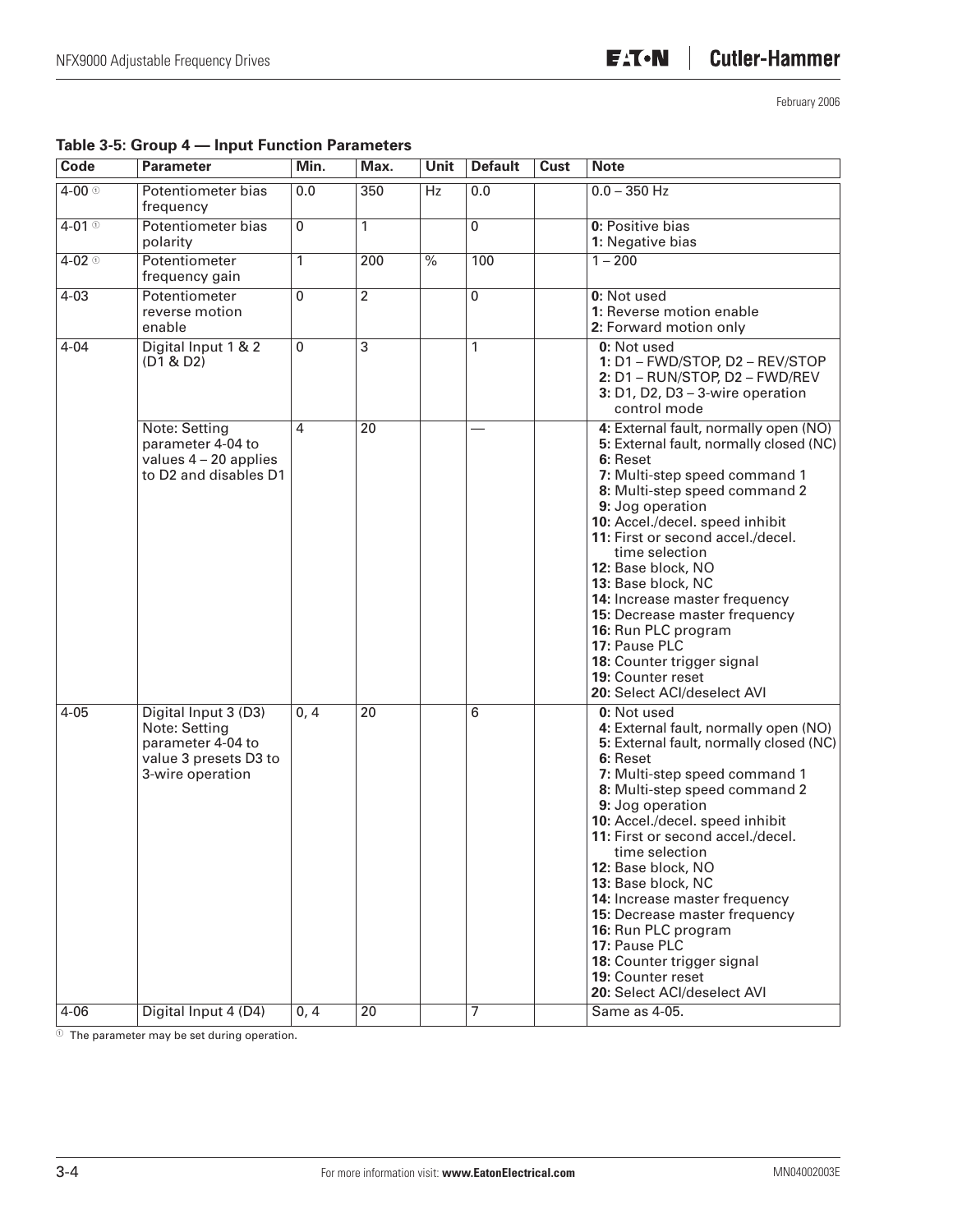| Code                | <b>Parameter</b>                                                                                        | Min.           | Max.            | <b>Unit</b>              | <b>Default</b> | Cust | <b>Note</b>                                                                                                                                                                                                                                                                                                                                                                                                                                                                                                                         |
|---------------------|---------------------------------------------------------------------------------------------------------|----------------|-----------------|--------------------------|----------------|------|-------------------------------------------------------------------------------------------------------------------------------------------------------------------------------------------------------------------------------------------------------------------------------------------------------------------------------------------------------------------------------------------------------------------------------------------------------------------------------------------------------------------------------------|
| $4 - 00$ $\circ$    | Potentiometer bias<br>frequency                                                                         | 0.0            | 350             | Hz                       | 0.0            |      | $0.0 - 350$ Hz                                                                                                                                                                                                                                                                                                                                                                                                                                                                                                                      |
| $4-01$ <sup>①</sup> | Potentiometer bias<br>polarity                                                                          | $\overline{0}$ | 1               |                          | $\overline{0}$ |      | 0: Positive bias<br>1: Negative bias                                                                                                                                                                                                                                                                                                                                                                                                                                                                                                |
| $4 - 02$ $\circ$    | Potentiometer<br>frequency gain                                                                         | 1              | 200             | $\overline{\frac{9}{6}}$ | 100            |      | $1 - 200$                                                                                                                                                                                                                                                                                                                                                                                                                                                                                                                           |
| $4 - 03$            | Potentiometer<br>reverse motion<br>enable                                                               | $\overline{0}$ | 2               |                          | 0              |      | 0: Not used<br>1: Reverse motion enable<br>2: Forward motion only                                                                                                                                                                                                                                                                                                                                                                                                                                                                   |
| $4 - 04$            | Digital Input 1 & 2<br>(D1 & D2)                                                                        | $\mathbf 0$    | 3               |                          | 1              |      | 0: Not used<br>1: D1 - FWD/STOP, D2 - REV/STOP<br>2: D1 - RUN/STOP, D2 - FWD/REV<br>$3: D1, D2, D3 - 3$ -wire operation<br>control mode                                                                                                                                                                                                                                                                                                                                                                                             |
|                     | Note: Setting<br>parameter 4-04 to<br>values $4 - 20$ applies<br>to D2 and disables D1                  | 4              | 20              |                          |                |      | 4: External fault, normally open (NO)<br>5: External fault, normally closed (NC)<br>6: Reset<br>7: Multi-step speed command 1<br>8: Multi-step speed command 2<br>9: Jog operation<br>10: Accel./decel. speed inhibit<br>11: First or second accel./decel.<br>time selection<br>12: Base block, NO<br>13: Base block, NC<br>14: Increase master frequency<br>15: Decrease master frequency<br>16: Run PLC program<br>17: Pause PLC<br>18: Counter trigger signal<br>19: Counter reset<br>20: Select ACI/deselect AVI                |
| $4 - 05$            | Digital Input 3 (D3)<br>Note: Setting<br>parameter 4-04 to<br>value 3 presets D3 to<br>3-wire operation | 0, 4           | $\overline{20}$ |                          | 6              |      | 0: Not used<br>4: External fault, normally open (NO)<br>5: External fault, normally closed (NC)<br>6: Reset<br>7: Multi-step speed command 1<br>8: Multi-step speed command 2<br>9: Jog operation<br>10: Accel./decel. speed inhibit<br>11: First or second accel./decel.<br>time selection<br>12: Base block, NO<br>13: Base block, NC<br>14: Increase master frequency<br>15: Decrease master frequency<br>16: Run PLC program<br>17: Pause PLC<br>18: Counter trigger signal<br>19: Counter reset<br>20: Select ACI/deselect AVI |
| 4-06                | Digital Input 4 (D4)                                                                                    | 0, 4           | 20              |                          | 7              |      | Same as 4-05.                                                                                                                                                                                                                                                                                                                                                                                                                                                                                                                       |

#### **Table 3-5: Group 4 — Input Function Parameters**

 $^\circledR$  The parameter may be set during operation.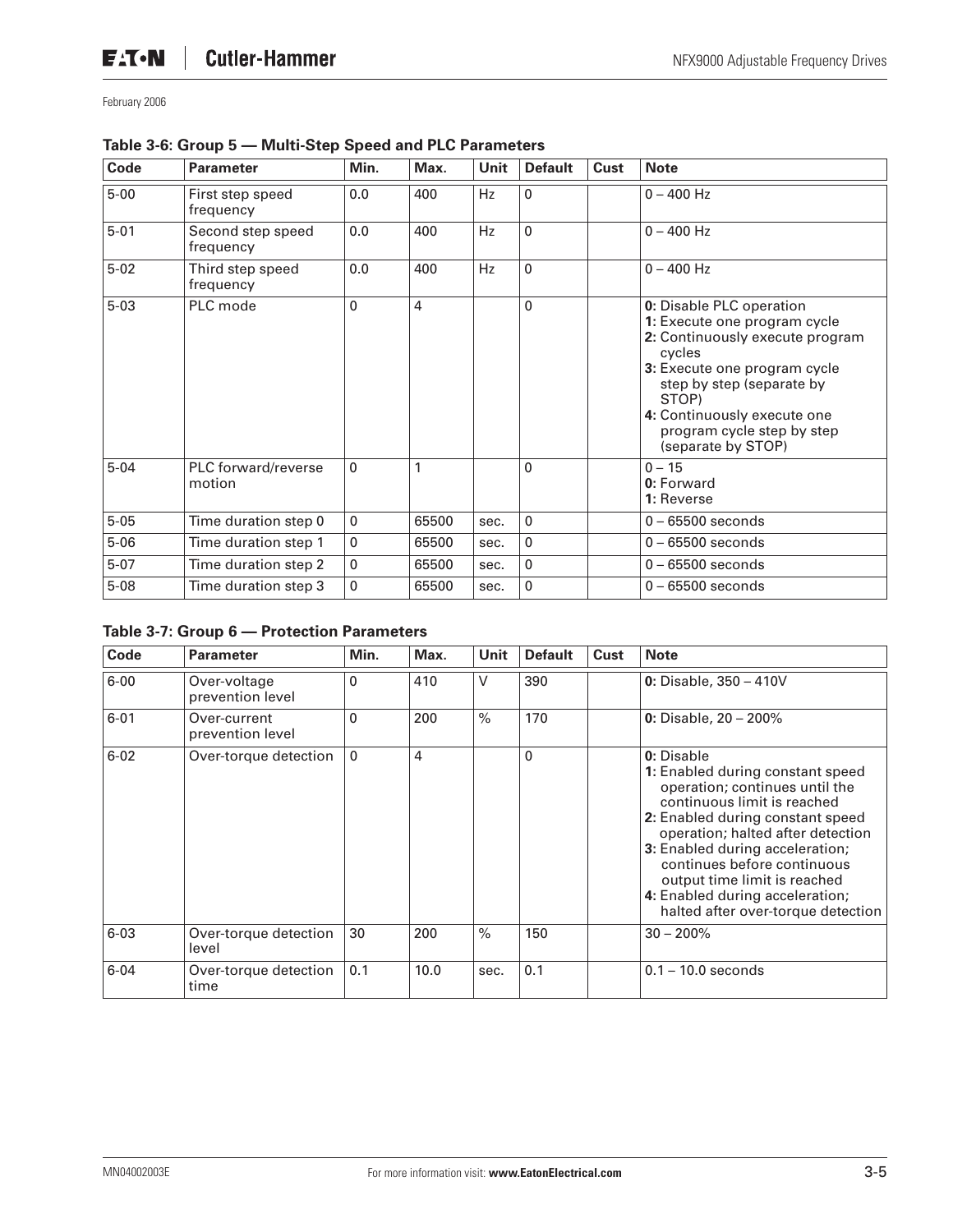| Code     | <b>Parameter</b>               | Min.        | Max.           | <b>Unit</b> | <b>Default</b> | Cust | <b>Note</b>                                                                                                                                                                                                                                                    |
|----------|--------------------------------|-------------|----------------|-------------|----------------|------|----------------------------------------------------------------------------------------------------------------------------------------------------------------------------------------------------------------------------------------------------------------|
| $5 - 00$ | First step speed<br>frequency  | 0.0         | 400            | <b>Hz</b>   | 0              |      | $0 - 400$ Hz                                                                                                                                                                                                                                                   |
| $5 - 01$ | Second step speed<br>frequency | 0.0         | 400            | Hz          | 0              |      | $0 - 400$ Hz                                                                                                                                                                                                                                                   |
| $5 - 02$ | Third step speed<br>frequency  | 0.0         | 400            | Hz          | $\Omega$       |      | $0 - 400$ Hz                                                                                                                                                                                                                                                   |
| $5 - 03$ | PLC mode                       | 0           | $\overline{4}$ |             | 0              |      | 0: Disable PLC operation<br>1: Execute one program cycle<br>2: Continuously execute program<br>cycles<br>3: Execute one program cycle<br>step by step (separate by<br>STOP)<br>4: Continuously execute one<br>program cycle step by step<br>(separate by STOP) |
| $5 - 04$ | PLC forward/reverse<br>motion  | $\mathbf 0$ | 1              |             | 0              |      | $0 - 15$<br>0: Forward<br>1: Reverse                                                                                                                                                                                                                           |
| $5 - 05$ | Time duration step 0           | 0           | 65500          | sec.        | $\mathbf{0}$   |      | $0 - 65500$ seconds                                                                                                                                                                                                                                            |
| $5 - 06$ | Time duration step 1           | $\mathbf 0$ | 65500          | sec.        | $\mathbf{0}$   |      | $0 - 65500$ seconds                                                                                                                                                                                                                                            |
| $5 - 07$ | Time duration step 2           | $\mathbf 0$ | 65500          | sec.        | $\mathbf{0}$   |      | $0 - 65500$ seconds                                                                                                                                                                                                                                            |
| $5 - 08$ | Time duration step 3           | $\mathbf 0$ | 65500          | sec.        | 0              |      | $0 - 65500$ seconds                                                                                                                                                                                                                                            |

#### **Table 3-6: Group 5 — Multi-Step Speed and PLC Parameters**

#### **Table 3-7: Group 6 — Protection Parameters**

| Code     | <b>Parameter</b>                 | Min.         | Max. | <b>Unit</b> | <b>Default</b> | <b>Cust</b> | <b>Note</b>                                                                                                                                                                                                                                                                                                                                                         |
|----------|----------------------------------|--------------|------|-------------|----------------|-------------|---------------------------------------------------------------------------------------------------------------------------------------------------------------------------------------------------------------------------------------------------------------------------------------------------------------------------------------------------------------------|
| $6 - 00$ | Over-voltage<br>prevention level | 0            | 410  | V           | 390            |             | 0: Disable, $350 - 410V$                                                                                                                                                                                                                                                                                                                                            |
| $6 - 01$ | Over-current<br>prevention level | $\Omega$     | 200  | $\%$        | 170            |             | 0: Disable, $20 - 200\%$                                                                                                                                                                                                                                                                                                                                            |
| $6 - 02$ | Over-torque detection            | $\mathbf{0}$ | 4    |             | $\mathbf 0$    |             | 0: Disable<br>1: Enabled during constant speed<br>operation; continues until the<br>continuous limit is reached<br>2: Enabled during constant speed<br>operation; halted after detection<br>3: Enabled during acceleration;<br>continues before continuous<br>output time limit is reached<br>4: Enabled during acceleration;<br>halted after over-torque detection |
| $6 - 03$ | Over-torque detection<br>level   | 30           | 200  | $\%$        | 150            |             | $30 - 200\%$                                                                                                                                                                                                                                                                                                                                                        |
| $6 - 04$ | Over-torque detection<br>time    | 0.1          | 10.0 | sec.        | 0.1            |             | $0.1 - 10.0$ seconds                                                                                                                                                                                                                                                                                                                                                |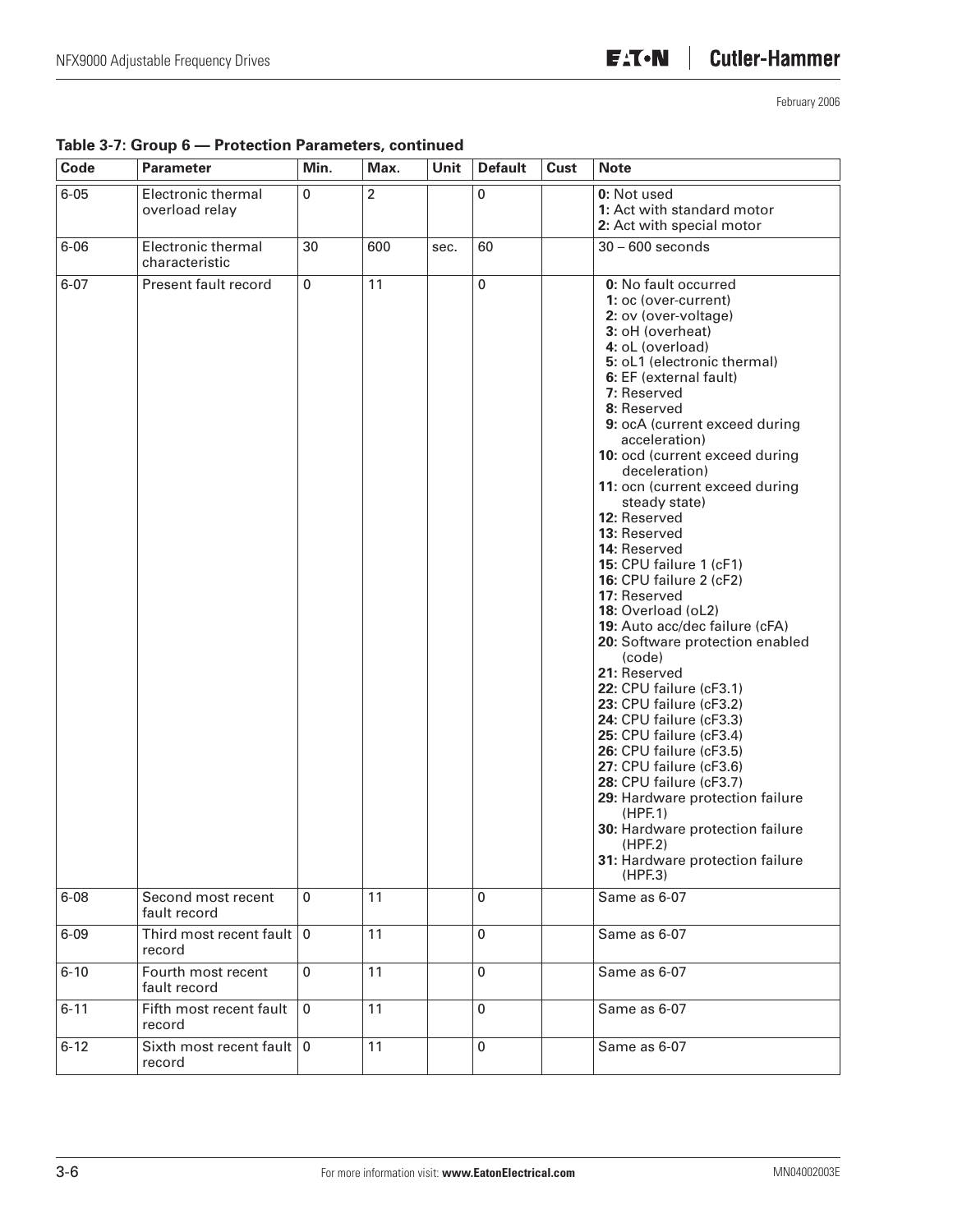| Code     | <b>Parameter</b>                                  | Min.        | Max. | Unit | <b>Default</b> | <b>Cust</b> | <b>Note</b>                                                                                                                                                                                                                                                                                                                                                                                                                                                                                                                                                                                                                                                                                                                                                                                                                                                                                                                                   |
|----------|---------------------------------------------------|-------------|------|------|----------------|-------------|-----------------------------------------------------------------------------------------------------------------------------------------------------------------------------------------------------------------------------------------------------------------------------------------------------------------------------------------------------------------------------------------------------------------------------------------------------------------------------------------------------------------------------------------------------------------------------------------------------------------------------------------------------------------------------------------------------------------------------------------------------------------------------------------------------------------------------------------------------------------------------------------------------------------------------------------------|
| $6 - 05$ | Electronic thermal<br>overload relay              | 0           | 2    |      | 0              |             | 0: Not used<br>1: Act with standard motor<br>2: Act with special motor                                                                                                                                                                                                                                                                                                                                                                                                                                                                                                                                                                                                                                                                                                                                                                                                                                                                        |
| $6 - 06$ | Electronic thermal<br>characteristic              | 30          | 600  | sec. | 60             |             | $30 - 600$ seconds                                                                                                                                                                                                                                                                                                                                                                                                                                                                                                                                                                                                                                                                                                                                                                                                                                                                                                                            |
| $6 - 07$ | Present fault record                              | 0           | 11   |      | 0              |             | 0: No fault occurred<br>1: oc (over-current)<br>2: ov (over-voltage)<br>3: oH (overheat)<br>4: oL (overload)<br>5: oL1 (electronic thermal)<br>6: EF (external fault)<br>7: Reserved<br>8: Reserved<br>9: ocA (current exceed during<br>acceleration)<br>10: ocd (current exceed during<br>deceleration)<br>11: ocn (current exceed during<br>steady state)<br>12: Reserved<br>13: Reserved<br>14: Reserved<br>15: CPU failure 1 (cF1)<br>16: CPU failure 2 (cF2)<br>17: Reserved<br>18: Overload (oL2)<br>19: Auto acc/dec failure (cFA)<br>20: Software protection enabled<br>(code)<br>21: Reserved<br>22: CPU failure (cF3.1)<br>23: CPU failure (cF3.2)<br>24: CPU failure (cF3.3)<br>25: CPU failure (cF3.4)<br>26: CPU failure (cF3.5)<br>27: CPU failure (cF3.6)<br>28: CPU failure (cF3.7)<br>29: Hardware protection failure<br>(HPF.1)<br>30: Hardware protection failure<br>(HPF.2)<br>31: Hardware protection failure<br>(HPF.3) |
| $6 - 08$ | Second most recent<br>fault record                | 0           | 11   |      | $\pmb{0}$      |             | Same as 6-07                                                                                                                                                                                                                                                                                                                                                                                                                                                                                                                                                                                                                                                                                                                                                                                                                                                                                                                                  |
| $6 - 09$ | Third most recent fault $\vert 0 \vert$<br>record |             | 11   |      | $\pmb{0}$      |             | Same as 6-07                                                                                                                                                                                                                                                                                                                                                                                                                                                                                                                                                                                                                                                                                                                                                                                                                                                                                                                                  |
| $6 - 10$ | Fourth most recent<br>fault record                | $\pmb{0}$   | 11   |      | $\pmb{0}$      |             | Same as 6-07                                                                                                                                                                                                                                                                                                                                                                                                                                                                                                                                                                                                                                                                                                                                                                                                                                                                                                                                  |
| $6 - 11$ | Fifth most recent fault<br>record                 | $\mathbf 0$ | 11   |      | $\pmb{0}$      |             | Same as 6-07                                                                                                                                                                                                                                                                                                                                                                                                                                                                                                                                                                                                                                                                                                                                                                                                                                                                                                                                  |
| $6 - 12$ | Sixth most recent fault   0<br>record             |             | 11   |      | $\mathbf 0$    |             | Same as 6-07                                                                                                                                                                                                                                                                                                                                                                                                                                                                                                                                                                                                                                                                                                                                                                                                                                                                                                                                  |

#### **Table 3-7: Group 6 — Protection Parameters, continued**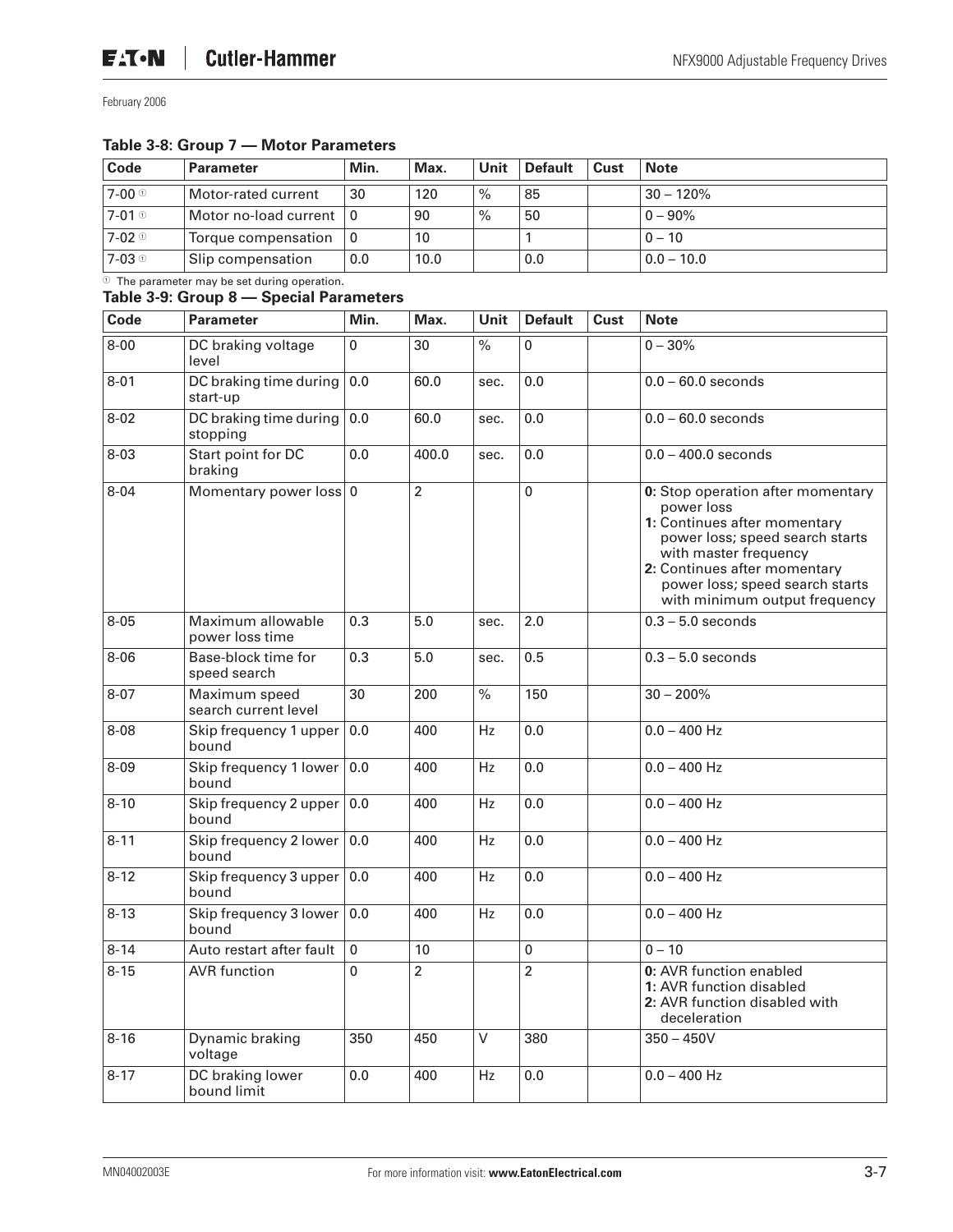#### **Table 3-8: Group 7 — Motor Parameters**

| Code                | Parameter                         | Min. | Max. | Unit | <b>Default</b> | Cust | <b>Note</b>  |
|---------------------|-----------------------------------|------|------|------|----------------|------|--------------|
| 7-00 ⊕              | Motor-rated current               | 30   | 120  | $\%$ | 85             |      | $30 - 120%$  |
| $7-01$ <sup>①</sup> | Motor no-load current $ 0\rangle$ |      | 90   | $\%$ | 50             |      | $0 - 90\%$   |
| $7-02$ <sup>①</sup> | Torque compensation $ 0\rangle$   |      | 10   |      |                |      | $0 - 10$     |
| $7-03$ <sup>①</sup> | Slip compensation                 | 0.0  | 10.0 |      | 0.0            |      | $0.0 - 10.0$ |

#### $\overline{O}$  The parameter may be set during operation.

#### **Table 3-9: Group 8 — Special Parameters**

| Code     | <b>Parameter</b>                      | Min. | Max.           | <b>Unit</b> | <b>Default</b> | Cust | <b>Note</b>                                                                                                                                                                                                                                     |
|----------|---------------------------------------|------|----------------|-------------|----------------|------|-------------------------------------------------------------------------------------------------------------------------------------------------------------------------------------------------------------------------------------------------|
| $8 - 00$ | DC braking voltage<br>level           | 0    | 30             | $\%$        | 0              |      | $0 - 30%$                                                                                                                                                                                                                                       |
| $8 - 01$ | DC braking time during<br>start-up    | 0.0  | 60.0           | sec.        | 0.0            |      | $0.0 - 60.0$ seconds                                                                                                                                                                                                                            |
| $8 - 02$ | DC braking time during<br>stopping    | 0.0  | 60.0           | sec.        | 0.0            |      | $0.0 - 60.0$ seconds                                                                                                                                                                                                                            |
| $8 - 03$ | Start point for DC<br>braking         | 0.0  | 400.0          | sec.        | 0.0            |      | $0.0 - 400.0$ seconds                                                                                                                                                                                                                           |
| $8 - 04$ | Momentary power loss 0                |      | $\overline{2}$ |             | 0              |      | 0: Stop operation after momentary<br>power loss<br>1: Continues after momentary<br>power loss; speed search starts<br>with master frequency<br>2: Continues after momentary<br>power loss; speed search starts<br>with minimum output frequency |
| $8 - 05$ | Maximum allowable<br>power loss time  | 0.3  | 5.0            | sec.        | 2.0            |      | $0.3 - 5.0$ seconds                                                                                                                                                                                                                             |
| $8 - 06$ | Base-block time for<br>speed search   | 0.3  | 5.0            | sec.        | 0.5            |      | $0.3 - 5.0$ seconds                                                                                                                                                                                                                             |
| $8 - 07$ | Maximum speed<br>search current level | 30   | 200            | $\%$        | 150            |      | $30 - 200\%$                                                                                                                                                                                                                                    |
| $8 - 08$ | Skip frequency 1 upper<br>bound       | 0.0  | 400            | Hz          | 0.0            |      | $0.0 - 400$ Hz                                                                                                                                                                                                                                  |
| $8 - 09$ | Skip frequency 1 lower<br>bound       | 0.0  | 400            | Hz          | 0.0            |      | $0.0 - 400$ Hz                                                                                                                                                                                                                                  |
| $8 - 10$ | Skip frequency 2 upper<br>bound       | 0.0  | 400            | Hz          | 0.0            |      | $0.0 - 400$ Hz                                                                                                                                                                                                                                  |
| $8 - 11$ | Skip frequency 2 lower<br>bound       | 0.0  | 400            | Hz          | 0.0            |      | $0.0 - 400$ Hz                                                                                                                                                                                                                                  |
| $8 - 12$ | Skip frequency 3 upper<br>bound       | 0.0  | 400            | Hz          | 0.0            |      | $0.0 - 400$ Hz                                                                                                                                                                                                                                  |
| $8 - 13$ | Skip frequency 3 lower<br>hound       | 0.0  | 400            | Hz          | 0.0            |      | $0.0 - 400$ Hz                                                                                                                                                                                                                                  |
| $8 - 14$ | Auto restart after fault              | 0    | 10             |             | $\pmb{0}$      |      | $0 - 10$                                                                                                                                                                                                                                        |
| $8 - 15$ | <b>AVR</b> function                   | 0    | $\overline{2}$ |             | $\overline{2}$ |      | 0: AVR function enabled<br>1: AVR function disabled<br>2: AVR function disabled with<br>deceleration                                                                                                                                            |
| $8 - 16$ | Dynamic braking<br>voltage            | 350  | 450            | V           | 380            |      | $350 - 450V$                                                                                                                                                                                                                                    |
| $8 - 17$ | DC braking lower<br>bound limit       | 0.0  | 400            | Hz          | 0.0            |      | $0.0 - 400$ Hz                                                                                                                                                                                                                                  |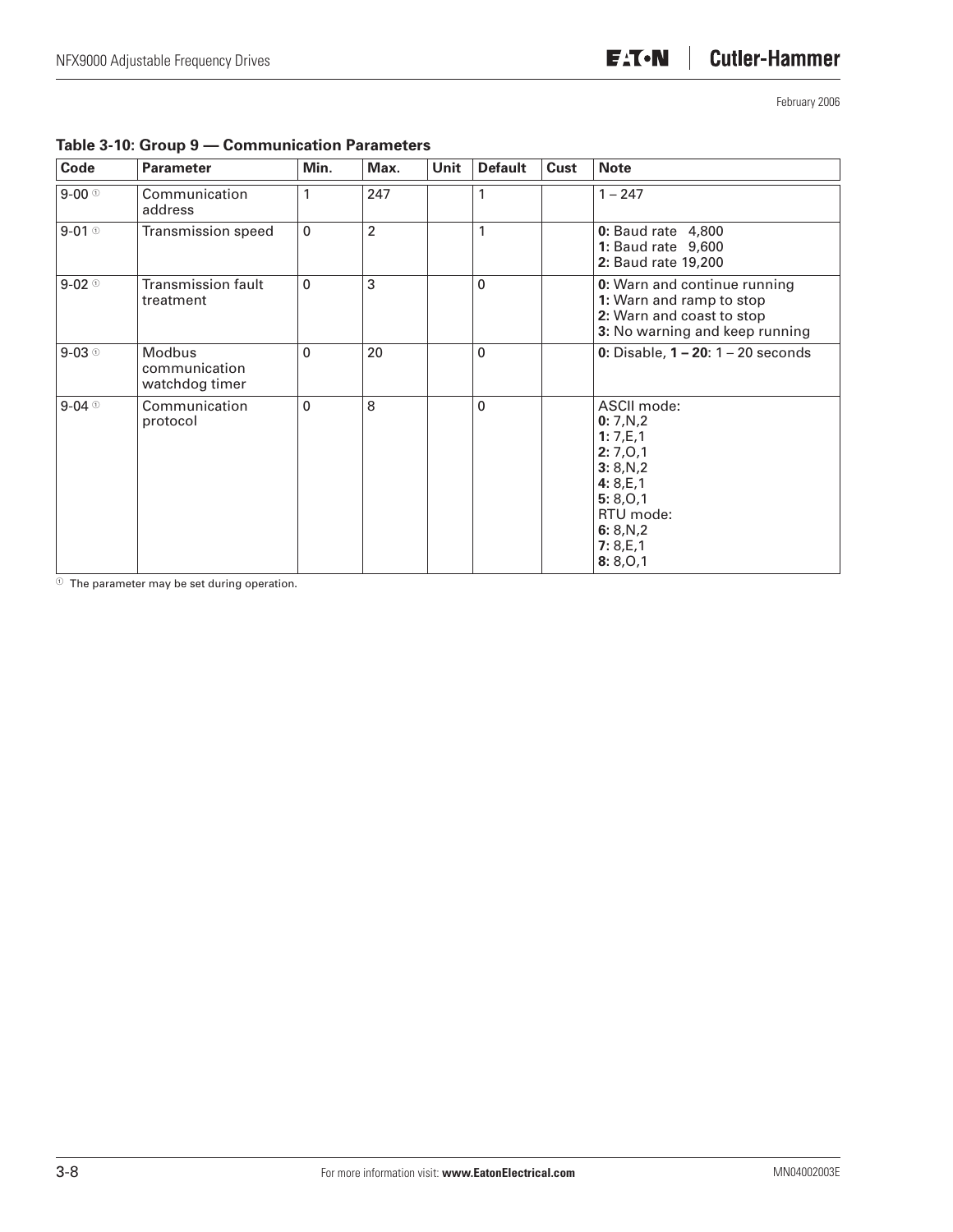| Code                | <b>Parameter</b>                                 | Min.         | Max.           | Unit | <b>Default</b> | Cust | <b>Note</b>                                                                                                                             |
|---------------------|--------------------------------------------------|--------------|----------------|------|----------------|------|-----------------------------------------------------------------------------------------------------------------------------------------|
| $9-00$              | Communication<br>address                         |              | 247            |      |                |      | $1 - 247$                                                                                                                               |
| $9-01$ <sup>①</sup> | Transmission speed                               | $\mathbf{0}$ | $\overline{2}$ |      | 1              |      | <b>0:</b> Baud rate 4,800<br><b>1: Baud rate 9,600</b><br>2: Baud rate 19,200                                                           |
| $9-02$ <sup>o</sup> | <b>Transmission fault</b><br>treatment           | $\mathbf{0}$ | 3              |      | $\mathbf{0}$   |      | <b>0:</b> Warn and continue running<br>1: Warn and ramp to stop<br>2: Warn and coast to stop<br>3: No warning and keep running          |
| $9-03$              | <b>Modbus</b><br>communication<br>watchdog timer | $\mathbf{0}$ | 20             |      | $\Omega$       |      | 0: Disable, $1 - 20$ : $1 - 20$ seconds                                                                                                 |
| $9-04$              | Communication<br>protocol                        | $\mathbf{0}$ | 8              |      | $\Omega$       |      | ASCII mode:<br>0:7,N,2<br>1: 7,E,1<br>2:7,0,1<br>3:8,N,2<br>4: $8, E, 1$<br>5: 8, 0, 1<br>RTU mode:<br>6: $8,N,2$<br>7:8,E,1<br>8:8,0,1 |

#### **Table 3-10: Group 9 — Communication Parameters**

 $\overline{\textcircled{\tiny{1}}}$  The parameter may be set during operation.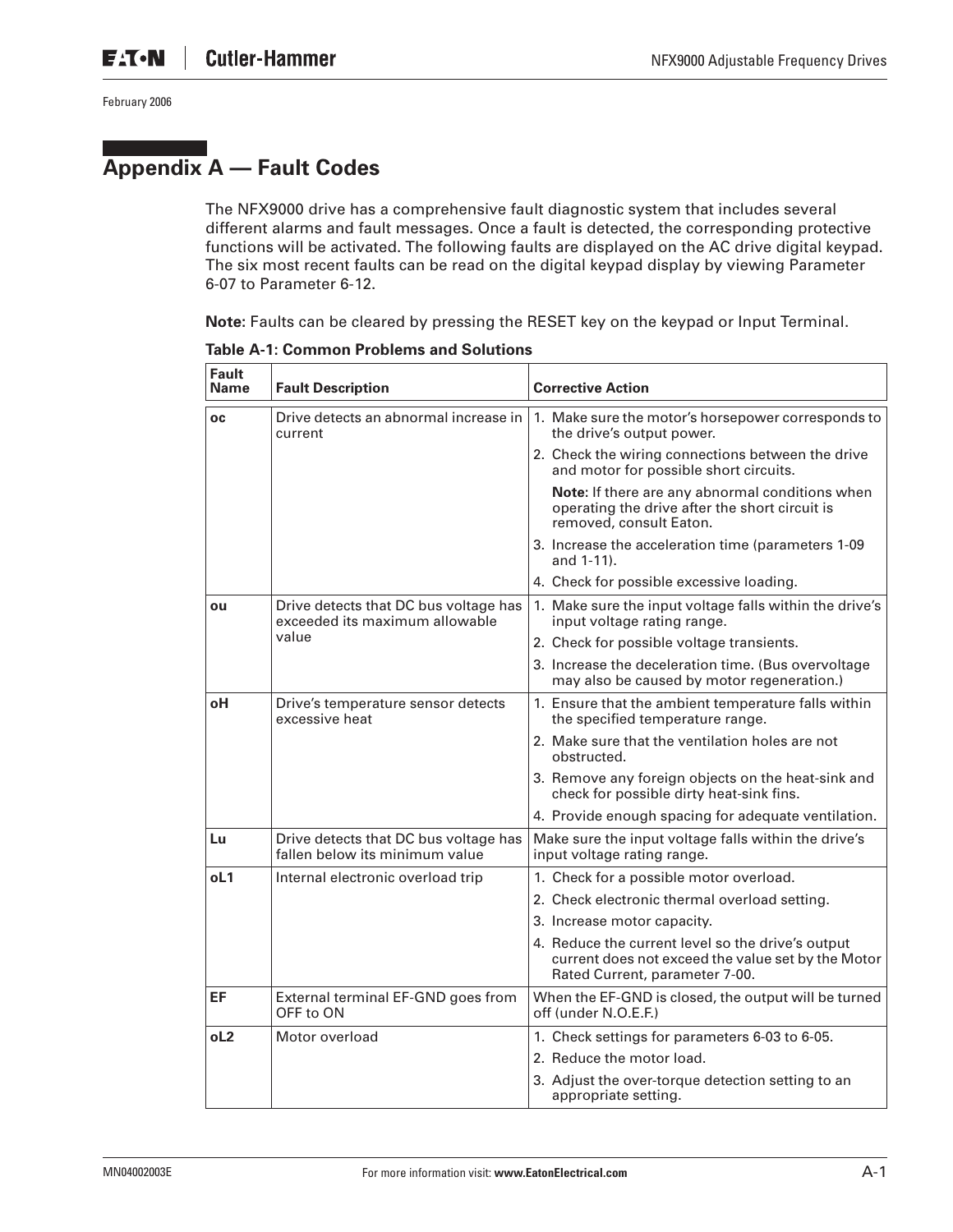## **Appendix A — Fault Codes**

The NFX9000 drive has a comprehensive fault diagnostic system that includes several different alarms and fault messages. Once a fault is detected, the corresponding protective functions will be activated. The following faults are displayed on the AC drive digital keypad. The six most recent faults can be read on the digital keypad display by viewing Parameter 6-07 to Parameter 6-12.

**Note:** Faults can be cleared by pressing the RESET key on the keypad or Input Terminal.

| Fault<br>Name  | <b>Fault Description</b>                                                | <b>Corrective Action</b>                                                                                                                  |
|----------------|-------------------------------------------------------------------------|-------------------------------------------------------------------------------------------------------------------------------------------|
| <b>OC</b>      | Drive detects an abnormal increase in<br>current                        | 1. Make sure the motor's horsepower corresponds to<br>the drive's output power.                                                           |
|                |                                                                         | 2. Check the wiring connections between the drive<br>and motor for possible short circuits.                                               |
|                |                                                                         | Note: If there are any abnormal conditions when<br>operating the drive after the short circuit is<br>removed, consult Eaton.              |
|                |                                                                         | 3. Increase the acceleration time (parameters 1-09<br>and 1-11).                                                                          |
|                |                                                                         | 4. Check for possible excessive loading.                                                                                                  |
| ou             | Drive detects that DC bus voltage has<br>exceeded its maximum allowable | 1. Make sure the input voltage falls within the drive's<br>input voltage rating range.                                                    |
|                | value                                                                   | 2. Check for possible voltage transients.                                                                                                 |
|                |                                                                         | 3. Increase the deceleration time. (Bus overvoltage<br>may also be caused by motor regeneration.)                                         |
| оH             | Drive's temperature sensor detects<br>excessive heat                    | 1. Ensure that the ambient temperature falls within<br>the specified temperature range.                                                   |
|                |                                                                         | 2. Make sure that the ventilation holes are not<br>obstructed.                                                                            |
|                |                                                                         | 3. Remove any foreign objects on the heat-sink and<br>check for possible dirty heat-sink fins.                                            |
|                |                                                                         | 4. Provide enough spacing for adequate ventilation.                                                                                       |
| Lu             | Drive detects that DC bus voltage has<br>fallen below its minimum value | Make sure the input voltage falls within the drive's<br>input voltage rating range.                                                       |
| oL1            | Internal electronic overload trip                                       | 1. Check for a possible motor overload.                                                                                                   |
|                |                                                                         | 2. Check electronic thermal overload setting.                                                                                             |
|                |                                                                         | 3. Increase motor capacity.                                                                                                               |
|                |                                                                         | 4. Reduce the current level so the drive's output<br>current does not exceed the value set by the Motor<br>Rated Current, parameter 7-00. |
| EF             | External terminal EF-GND goes from<br>OFF to ON                         | When the EF-GND is closed, the output will be turned<br>off (under N.O.E.F.)                                                              |
| 0 <sub>2</sub> | Motor overload                                                          | 1. Check settings for parameters 6-03 to 6-05.                                                                                            |
|                |                                                                         | 2. Reduce the motor load.                                                                                                                 |
|                |                                                                         | 3. Adjust the over-torque detection setting to an<br>appropriate setting.                                                                 |

**Table A-1: Common Problems and Solutions**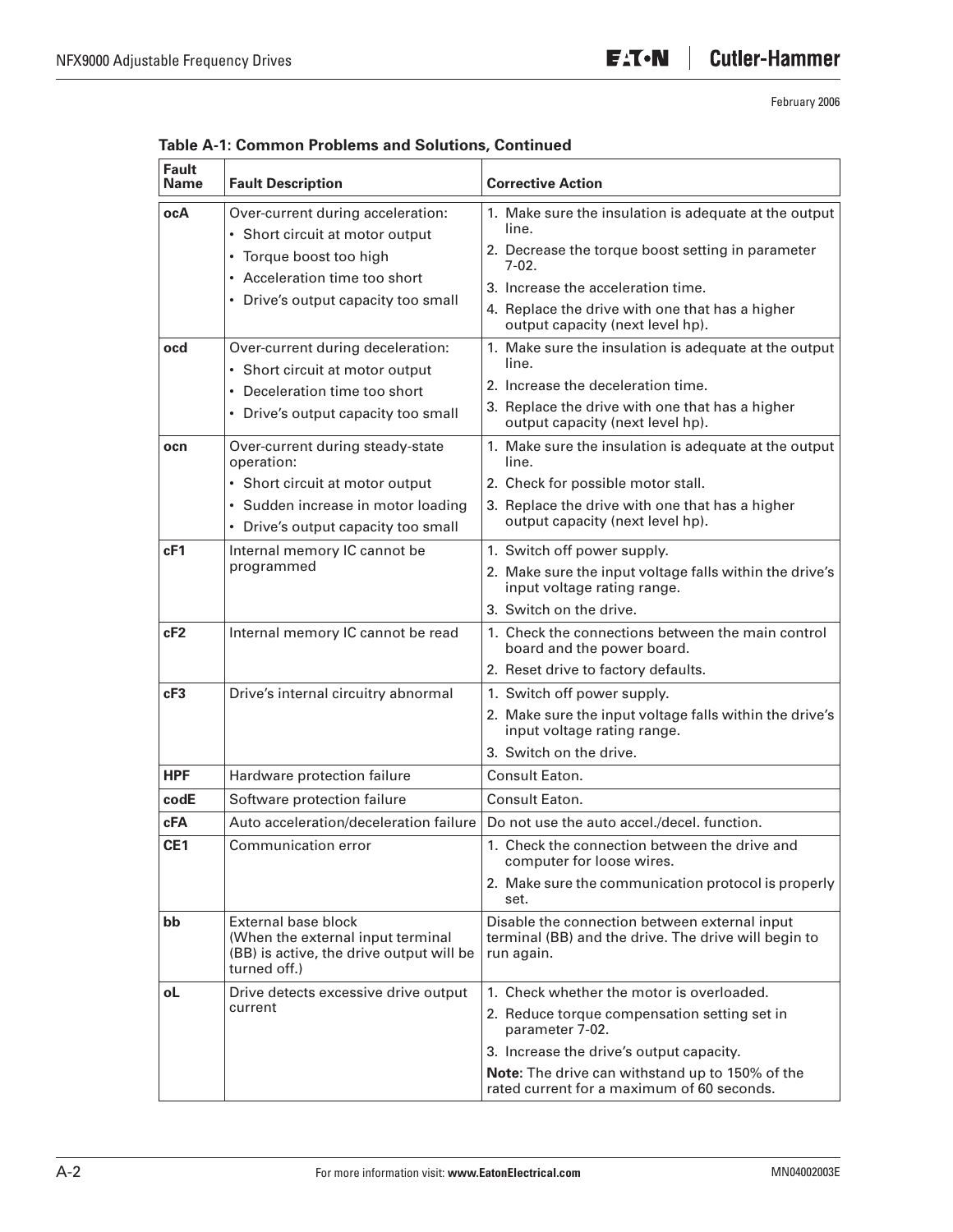ℸ

February 2006

| <b>Fault</b><br><b>Name</b> | <b>Fault Description</b>                                                                                                    | <b>Corrective Action</b>                                                                                            |  |  |  |
|-----------------------------|-----------------------------------------------------------------------------------------------------------------------------|---------------------------------------------------------------------------------------------------------------------|--|--|--|
| ocA                         | Over-current during acceleration:<br>• Short circuit at motor output                                                        | 1. Make sure the insulation is adequate at the output<br>line.                                                      |  |  |  |
|                             | • Torque boost too high                                                                                                     | 2. Decrease the torque boost setting in parameter<br>$7-02$                                                         |  |  |  |
|                             | • Acceleration time too short                                                                                               | 3. Increase the acceleration time.                                                                                  |  |  |  |
|                             | • Drive's output capacity too small                                                                                         | 4. Replace the drive with one that has a higher<br>output capacity (next level hp).                                 |  |  |  |
| ocd                         | Over-current during deceleration:                                                                                           | 1. Make sure the insulation is adequate at the output                                                               |  |  |  |
|                             | • Short circuit at motor output                                                                                             | line.                                                                                                               |  |  |  |
|                             | • Deceleration time too short                                                                                               | 2. Increase the deceleration time.                                                                                  |  |  |  |
|                             | • Drive's output capacity too small                                                                                         | 3. Replace the drive with one that has a higher<br>output capacity (next level hp).                                 |  |  |  |
| ocn                         | Over-current during steady-state<br>operation:                                                                              | 1. Make sure the insulation is adequate at the output<br>line.                                                      |  |  |  |
|                             | • Short circuit at motor output                                                                                             | 2. Check for possible motor stall.                                                                                  |  |  |  |
|                             | · Sudden increase in motor loading                                                                                          | 3. Replace the drive with one that has a higher                                                                     |  |  |  |
|                             | • Drive's output capacity too small                                                                                         | output capacity (next level hp).                                                                                    |  |  |  |
| cF1                         | Internal memory IC cannot be<br>programmed                                                                                  | 1. Switch off power supply.                                                                                         |  |  |  |
|                             |                                                                                                                             | 2. Make sure the input voltage falls within the drive's<br>input voltage rating range.                              |  |  |  |
|                             |                                                                                                                             | 3. Switch on the drive.                                                                                             |  |  |  |
| cF2                         | Internal memory IC cannot be read                                                                                           | 1. Check the connections between the main control<br>board and the power board.                                     |  |  |  |
|                             |                                                                                                                             | 2. Reset drive to factory defaults.                                                                                 |  |  |  |
| cF3                         | Drive's internal circuitry abnormal                                                                                         | 1. Switch off power supply.                                                                                         |  |  |  |
|                             |                                                                                                                             | 2. Make sure the input voltage falls within the drive's<br>input voltage rating range.                              |  |  |  |
|                             |                                                                                                                             | 3. Switch on the drive.                                                                                             |  |  |  |
| <b>HPF</b>                  | Hardware protection failure                                                                                                 | Consult Eaton.                                                                                                      |  |  |  |
| codE                        | Software protection failure                                                                                                 | Consult Eaton.                                                                                                      |  |  |  |
| cFA                         | Auto acceleration/deceleration failure                                                                                      | Do not use the auto accel./decel. function.                                                                         |  |  |  |
| CE <sub>1</sub>             | Communication error                                                                                                         | 1. Check the connection between the drive and<br>computer for loose wires.                                          |  |  |  |
|                             |                                                                                                                             | 2. Make sure the communication protocol is properly<br>set.                                                         |  |  |  |
| bb                          | <b>External base block</b><br>(When the external input terminal<br>(BB) is active, the drive output will be<br>turned off.) | Disable the connection between external input<br>terminal (BB) and the drive. The drive will begin to<br>run again. |  |  |  |
| οL                          | Drive detects excessive drive output                                                                                        | 1. Check whether the motor is overloaded.                                                                           |  |  |  |
|                             | current                                                                                                                     | 2. Reduce torque compensation setting set in<br>parameter 7-02.                                                     |  |  |  |
|                             |                                                                                                                             | 3. Increase the drive's output capacity.                                                                            |  |  |  |
|                             |                                                                                                                             | Note: The drive can withstand up to 150% of the<br>rated current for a maximum of 60 seconds.                       |  |  |  |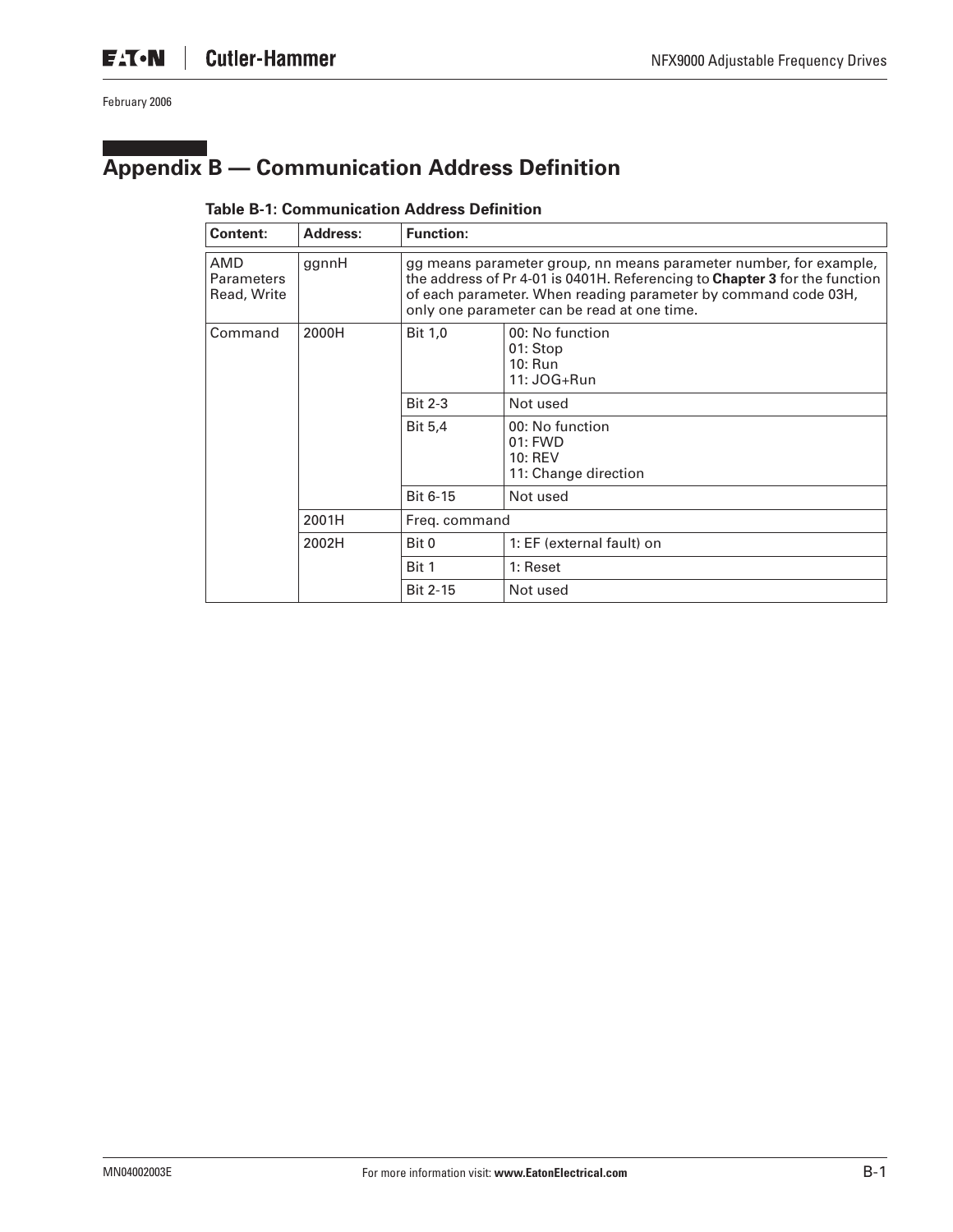# **Appendix B — Communication Address Definition**

#### **Table B-1: Communication Address Definition**

| Content:                                | <b>Address:</b> | <b>Function:</b>                                                                                                                                                                                                                                                 |                                                                 |  |  |
|-----------------------------------------|-----------------|------------------------------------------------------------------------------------------------------------------------------------------------------------------------------------------------------------------------------------------------------------------|-----------------------------------------------------------------|--|--|
| AMD<br><b>Parameters</b><br>Read, Write | ggnnH           | gg means parameter group, nn means parameter number, for example,<br>the address of Pr 4-01 is 0401H. Referencing to Chapter 3 for the function<br>of each parameter. When reading parameter by command code 03H,<br>only one parameter can be read at one time. |                                                                 |  |  |
| Command                                 | 2000H           | <b>Bit 1,0</b>                                                                                                                                                                                                                                                   | 00: No function<br>01: Stop<br>10: Run<br>11: JOG+Run           |  |  |
|                                         |                 | <b>Bit 2-3</b>                                                                                                                                                                                                                                                   | Not used                                                        |  |  |
|                                         |                 | <b>Bit 5,4</b>                                                                                                                                                                                                                                                   | 00: No function<br>01: FWD<br>$10:$ REV<br>11: Change direction |  |  |
|                                         |                 | Bit 6-15                                                                                                                                                                                                                                                         | Not used                                                        |  |  |
|                                         | 2001H           | Freg. command                                                                                                                                                                                                                                                    |                                                                 |  |  |
|                                         | 2002H           | Bit 0                                                                                                                                                                                                                                                            | 1: EF (external fault) on                                       |  |  |
|                                         |                 | Bit 1                                                                                                                                                                                                                                                            | 1: Reset                                                        |  |  |
|                                         |                 | <b>Bit 2-15</b>                                                                                                                                                                                                                                                  | Not used                                                        |  |  |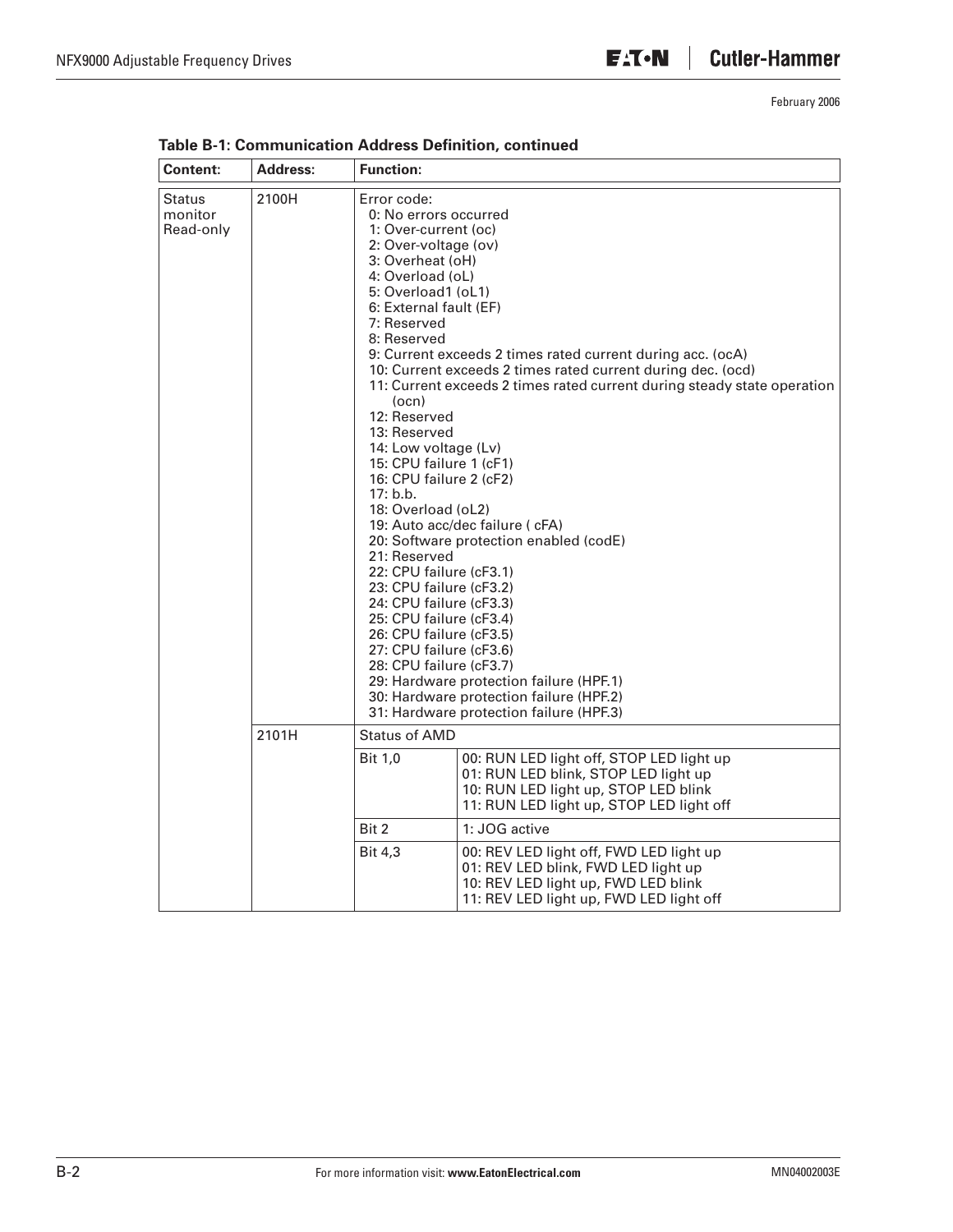| Content:                              | <b>Address:</b> | <b>Function:</b>                                                                                                                                                                                                                                                                                                                                                                                                                                                                                                                                                                 |                                                                                                                                                                                                                                                                                                                                                                                                                    |
|---------------------------------------|-----------------|----------------------------------------------------------------------------------------------------------------------------------------------------------------------------------------------------------------------------------------------------------------------------------------------------------------------------------------------------------------------------------------------------------------------------------------------------------------------------------------------------------------------------------------------------------------------------------|--------------------------------------------------------------------------------------------------------------------------------------------------------------------------------------------------------------------------------------------------------------------------------------------------------------------------------------------------------------------------------------------------------------------|
| <b>Status</b><br>monitor<br>Read-only | 2100H           | Error code:<br>0: No errors occurred<br>1: Over-current (oc)<br>2: Over-voltage (ov)<br>3: Overheat (oH)<br>4: Overload (oL)<br>5: Overload1 (oL1)<br>6: External fault (EF)<br>7: Reserved<br>8: Reserved<br>(ocn)<br>12: Reserved<br>13: Reserved<br>14: Low voltage (Lv)<br>15: CPU failure 1 (cF1)<br>16: CPU failure 2 (cF2)<br>17: b.b.<br>18: Overload (oL2)<br>21: Reserved<br>22: CPU failure (cF3.1)<br>23: CPU failure (cF3.2)<br>24: CPU failure (cF3.3)<br>25: CPU failure (cF3.4)<br>26: CPU failure (cF3.5)<br>27: CPU failure (cF3.6)<br>28: CPU failure (cF3.7) | 9: Current exceeds 2 times rated current during acc. (ocA)<br>10: Current exceeds 2 times rated current during dec. (ocd)<br>11: Current exceeds 2 times rated current during steady state operation<br>19: Auto acc/dec failure ( cFA)<br>20: Software protection enabled (codE)<br>29: Hardware protection failure (HPF.1)<br>30: Hardware protection failure (HPF.2)<br>31: Hardware protection failure (HPF.3) |
|                                       | 2101H           | Status of AMD                                                                                                                                                                                                                                                                                                                                                                                                                                                                                                                                                                    |                                                                                                                                                                                                                                                                                                                                                                                                                    |
|                                       |                 | <b>Bit 1,0</b>                                                                                                                                                                                                                                                                                                                                                                                                                                                                                                                                                                   | 00: RUN LED light off, STOP LED light up<br>01: RUN LED blink, STOP LED light up<br>10: RUN LED light up, STOP LED blink<br>11: RUN LED light up, STOP LED light off                                                                                                                                                                                                                                               |
|                                       |                 | Bit 2                                                                                                                                                                                                                                                                                                                                                                                                                                                                                                                                                                            | 1: JOG active                                                                                                                                                                                                                                                                                                                                                                                                      |
|                                       |                 | <b>Bit 4,3</b>                                                                                                                                                                                                                                                                                                                                                                                                                                                                                                                                                                   | 00: REV LED light off, FWD LED light up<br>01: REV LED blink, FWD LED light up<br>10: REV LED light up, FWD LED blink<br>11: REV LED light up, FWD LED light off                                                                                                                                                                                                                                                   |

**Table B-1: Communication Address Definition, continued**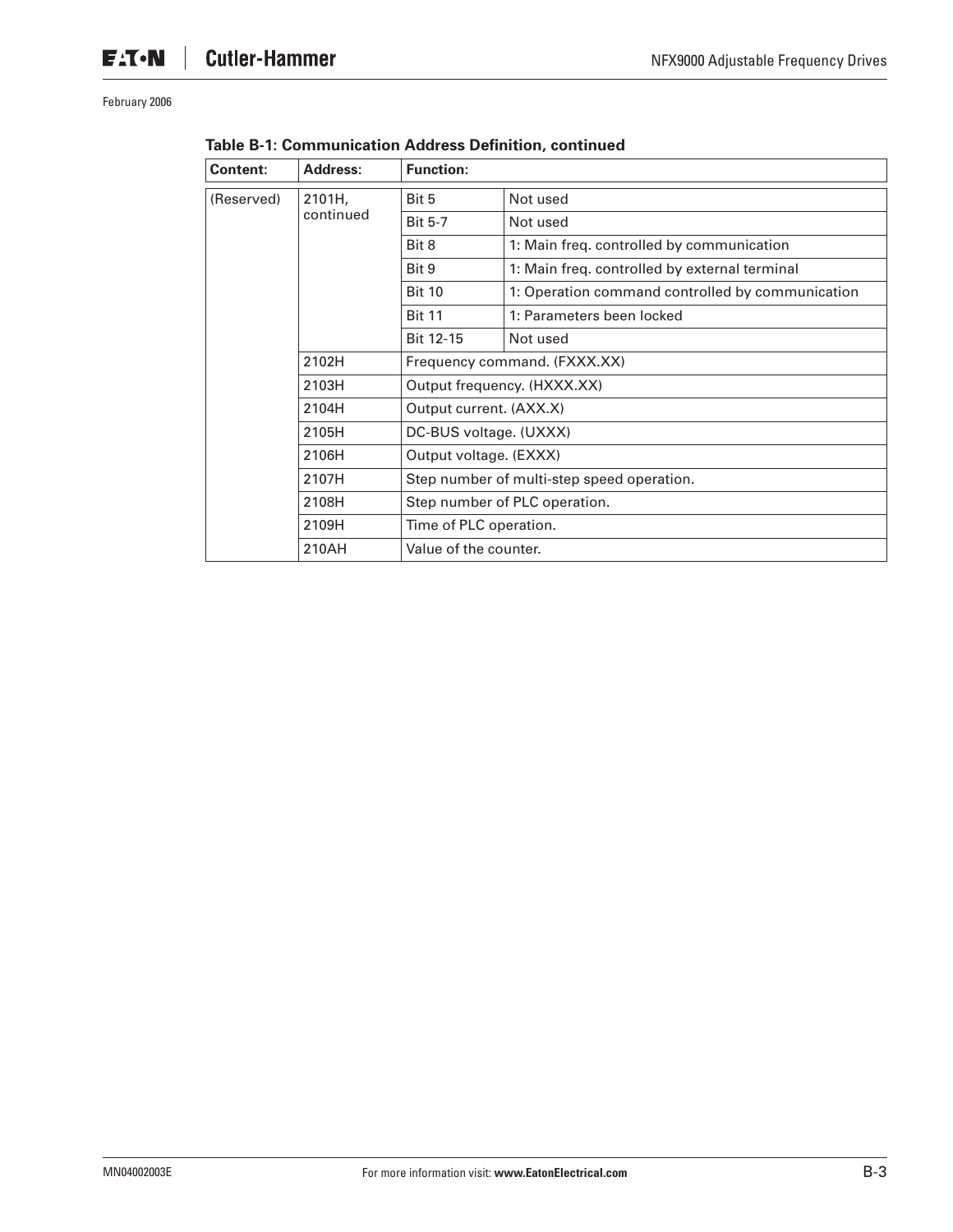| <b>Content:</b> | <b>Address:</b> | <b>Function:</b>                           |                                                  |  |
|-----------------|-----------------|--------------------------------------------|--------------------------------------------------|--|
| (Reserved)      | 2101H,          | Bit 5                                      | Not used                                         |  |
|                 | continued       | <b>Bit 5-7</b>                             | Not used                                         |  |
|                 |                 | Bit 8                                      | 1: Main freq. controlled by communication        |  |
|                 |                 | Bit 9                                      | 1: Main freq. controlled by external terminal    |  |
|                 |                 | <b>Bit 10</b>                              | 1: Operation command controlled by communication |  |
|                 |                 | <b>Bit 11</b>                              | 1: Parameters been locked                        |  |
|                 |                 | Bit 12-15                                  | Not used                                         |  |
|                 | 2102H           | Frequency command. (FXXX.XX)               |                                                  |  |
|                 | 2103H           | Output frequency. (HXXX.XX)                |                                                  |  |
|                 | 2104H           | Output current. (AXX.X)                    |                                                  |  |
|                 | 2105H           | DC-BUS voltage. (UXXX)                     |                                                  |  |
|                 | 2106H           | Output voltage. (EXXX)                     |                                                  |  |
|                 | 2107H           | Step number of multi-step speed operation. |                                                  |  |
|                 | 2108H           | Step number of PLC operation.              |                                                  |  |
|                 | 2109H           | Time of PLC operation.                     |                                                  |  |
|                 | 210AH           | Value of the counter.                      |                                                  |  |

| Table B-1: Communication Address Definition, continued |
|--------------------------------------------------------|
|--------------------------------------------------------|